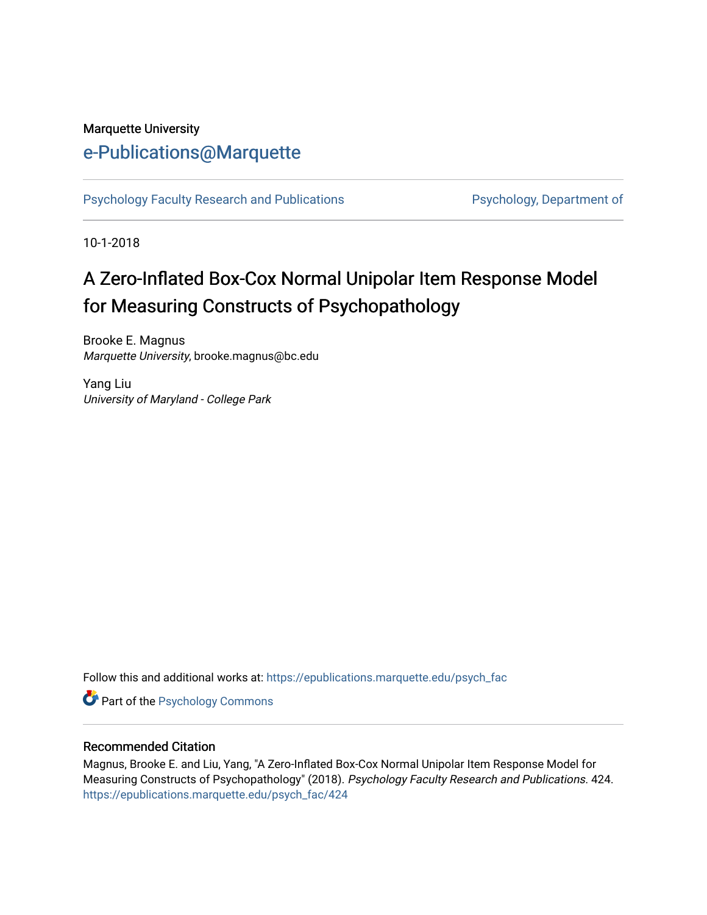## Marquette University

## [e-Publications@Marquette](https://epublications.marquette.edu/)

[Psychology Faculty Research and Publications](https://epublications.marquette.edu/psych_fac) **Properties Psychology, Department of** 

10-1-2018

# A Zero-Inflated Box-Cox Normal Unipolar Item Response Model for Measuring Constructs of Psychopathology

Brooke E. Magnus Marquette University, brooke.magnus@bc.edu

Yang Liu University of Maryland - College Park

Follow this and additional works at: [https://epublications.marquette.edu/psych\\_fac](https://epublications.marquette.edu/psych_fac?utm_source=epublications.marquette.edu%2Fpsych_fac%2F424&utm_medium=PDF&utm_campaign=PDFCoverPages)

**Part of the Psychology Commons** 

#### Recommended Citation

Magnus, Brooke E. and Liu, Yang, "A Zero-Inflated Box-Cox Normal Unipolar Item Response Model for Measuring Constructs of Psychopathology" (2018). Psychology Faculty Research and Publications. 424. [https://epublications.marquette.edu/psych\\_fac/424](https://epublications.marquette.edu/psych_fac/424?utm_source=epublications.marquette.edu%2Fpsych_fac%2F424&utm_medium=PDF&utm_campaign=PDFCoverPages)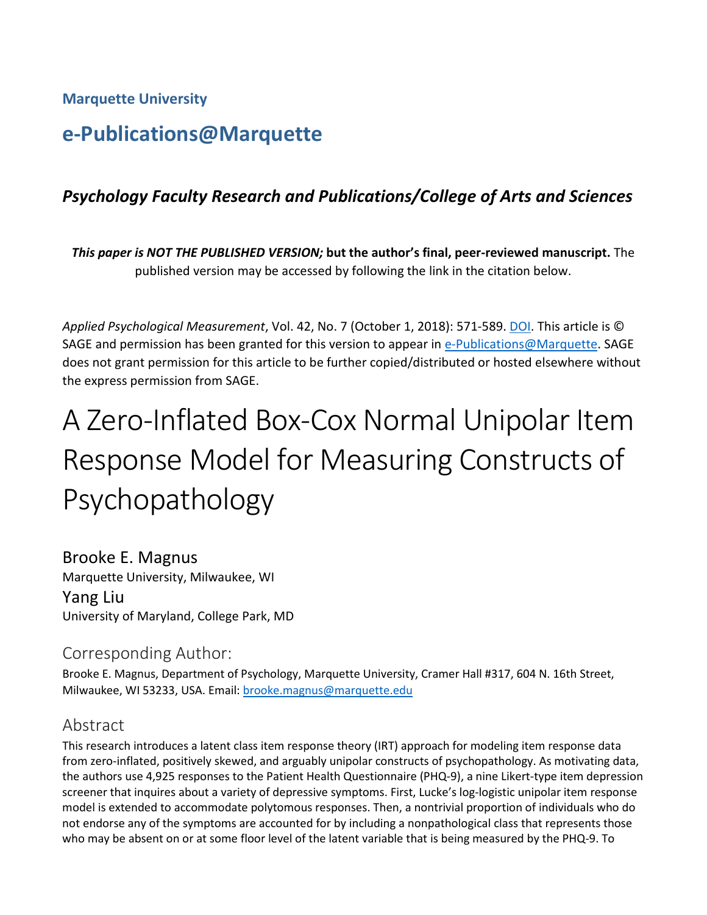**Marquette University**

# **e-Publications@Marquette**

## *Psychology Faculty Research and Publications/College of Arts and Sciences*

*This paper is NOT THE PUBLISHED VERSION;* **but the author's final, peer-reviewed manuscript.** The published version may be accessed by following the link in the citation below.

*Applied Psychological Measurement*, Vol. 42, No. 7 (October 1, 2018): 571-589. [DOI.](https://doi.org/10.1177%2F0146621618758291) This article is © SAGE and permission has been granted for this version to appear in [e-Publications@Marquette.](http://epublications.marquette.edu/) SAGE does not grant permission for this article to be further copied/distributed or hosted elsewhere without the express permission from SAGE.

# A Zero-Inflated Box-Cox Normal Unipolar Item Response Model for Measuring Constructs of Psychopathology

Brooke E. Magnus Marquette University, Milwaukee, WI Yang Liu University of Maryland, College Park, MD

## Corresponding Author:

Brooke E. Magnus, Department of Psychology, Marquette University, Cramer Hall #317, 604 N. 16th Street, Milwaukee, WI 53233, USA. Email: [brooke.magnus@marquette.edu](mailto:brooke.magnus@marquette.edu)

## Abstract

This research introduces a latent class item response theory (IRT) approach for modeling item response data from zero-inflated, positively skewed, and arguably unipolar constructs of psychopathology. As motivating data, the authors use 4,925 responses to the Patient Health Questionnaire (PHQ-9), a nine Likert-type item depression screener that inquires about a variety of depressive symptoms. First, Lucke's log-logistic unipolar item response model is extended to accommodate polytomous responses. Then, a nontrivial proportion of individuals who do not endorse any of the symptoms are accounted for by including a nonpathological class that represents those who may be absent on or at some floor level of the latent variable that is being measured by the PHQ-9. To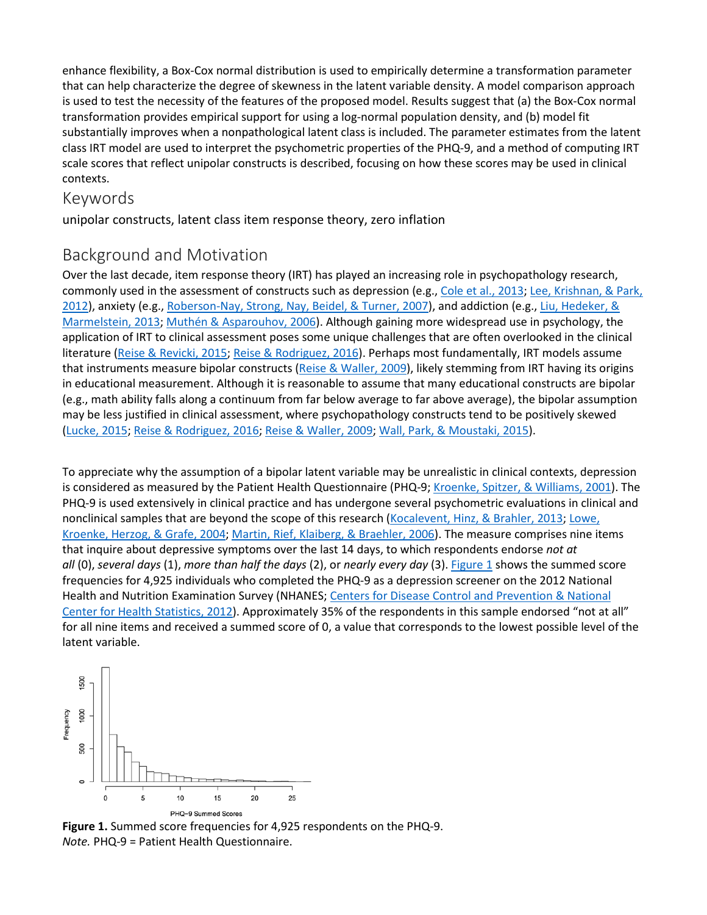enhance flexibility, a Box-Cox normal distribution is used to empirically determine a transformation parameter that can help characterize the degree of skewness in the latent variable density. A model comparison approach is used to test the necessity of the features of the proposed model. Results suggest that (a) the Box-Cox normal transformation provides empirical support for using a log-normal population density, and (b) model fit substantially improves when a nonpathological latent class is included. The parameter estimates from the latent class IRT model are used to interpret the psychometric properties of the PHQ-9, and a method of computing IRT scale scores that reflect unipolar constructs is described, focusing on how these scores may be used in clinical contexts.

#### Keywords

unipolar constructs, latent class item response theory, zero inflation

## Background and Motivation

Over the last decade, item response theory (IRT) has played an increasing role in psychopathology research, commonly used in the assessment of constructs such as depression (e.g., [Cole et al., 2013;](https://journals.sagepub.com/doi/10.1177/0146621618758291) [Lee, Krishnan, & Park,](https://journals.sagepub.com/doi/10.1177/0146621618758291)  [2012\)](https://journals.sagepub.com/doi/10.1177/0146621618758291), anxiety (e.g., [Roberson-Nay, Strong, Nay, Beidel, & Turner, 2007\)](https://journals.sagepub.com/doi/10.1177/0146621618758291), and addiction (e.g., [Liu, Hedeker, &](https://journals.sagepub.com/doi/10.1177/0146621618758291)  [Marmelstein, 2013;](https://journals.sagepub.com/doi/10.1177/0146621618758291) [Muthén & Asparouhov, 2006\)](https://journals.sagepub.com/doi/10.1177/0146621618758291). Although gaining more widespread use in psychology, the application of IRT to clinical assessment poses some unique challenges that are often overlooked in the clinical literature [\(Reise & Revicki, 2015;](https://journals.sagepub.com/doi/10.1177/0146621618758291) [Reise & Rodriguez, 2016\)](https://journals.sagepub.com/doi/10.1177/0146621618758291). Perhaps most fundamentally, IRT models assume that instruments measure bipolar constructs [\(Reise & Waller, 2009\)](https://journals.sagepub.com/doi/10.1177/0146621618758291), likely stemming from IRT having its origins in educational measurement. Although it is reasonable to assume that many educational constructs are bipolar (e.g., math ability falls along a continuum from far below average to far above average), the bipolar assumption may be less justified in clinical assessment, where psychopathology constructs tend to be positively skewed [\(Lucke, 2015;](https://journals.sagepub.com/doi/10.1177/0146621618758291) [Reise & Rodriguez, 2016;](https://journals.sagepub.com/doi/10.1177/0146621618758291) [Reise & Waller, 2009;](https://journals.sagepub.com/doi/10.1177/0146621618758291) [Wall, Park, & Moustaki, 2015\)](https://journals.sagepub.com/doi/10.1177/0146621618758291).

To appreciate why the assumption of a bipolar latent variable may be unrealistic in clinical contexts, depression is considered as measured by the Patient Health Questionnaire (PHQ-9; [Kroenke, Spitzer, & Williams, 2001\)](https://journals.sagepub.com/doi/10.1177/0146621618758291). The PHQ-9 is used extensively in clinical practice and has undergone several psychometric evaluations in clinical and nonclinical samples that are beyond the scope of this research [\(Kocalevent, Hinz, & Brahler, 2013;](https://journals.sagepub.com/doi/10.1177/0146621618758291) Lowe, [Kroenke, Herzog, & Grafe, 2004;](https://journals.sagepub.com/doi/10.1177/0146621618758291) [Martin, Rief, Klaiberg, & Braehler, 2006\)](https://journals.sagepub.com/doi/10.1177/0146621618758291). The measure comprises nine items that inquire about depressive symptoms over the last 14 days, to which respondents endorse *not at all* (0), *several days* (1), *more than half the days* (2), or *nearly every day* (3). [Figure 1](https://journals.sagepub.com/doi/10.1177/0146621618758291) shows the summed score frequencies for 4,925 individuals who completed the PHQ-9 as a depression screener on the 2012 National Health and Nutrition Examination Survey (NHANES; Centers for Disease Control and Prevention & National [Center for Health Statistics, 2012\)](https://journals.sagepub.com/doi/10.1177/0146621618758291). Approximately 35% of the respondents in this sample endorsed "not at all" for all nine items and received a summed score of 0, a value that corresponds to the lowest possible level of the latent variable.



**Figure 1.** Summed score frequencies for 4,925 respondents on the PHQ-9. *Note.* PHQ-9 = Patient Health Questionnaire.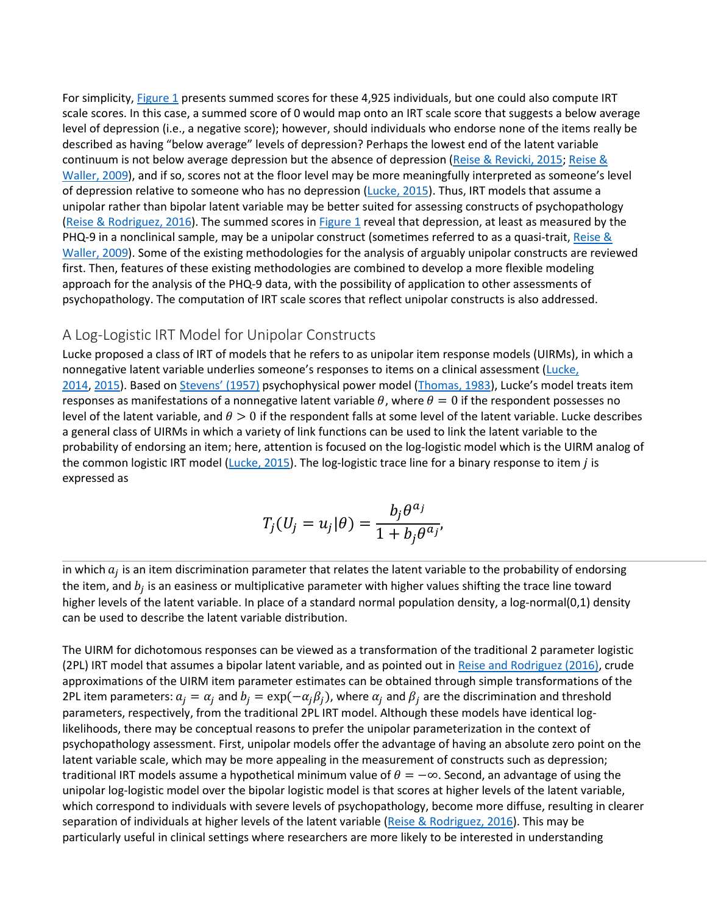For simplicity, [Figure 1](https://journals.sagepub.com/doi/10.1177/0146621618758291) presents summed scores for these 4,925 individuals, but one could also compute IRT scale scores. In this case, a summed score of 0 would map onto an IRT scale score that suggests a below average level of depression (i.e., a negative score); however, should individuals who endorse none of the items really be described as having "below average" levels of depression? Perhaps the lowest end of the latent variable continuum is not below average depression but the absence of depression [\(Reise & Revicki, 2015;](https://journals.sagepub.com/doi/10.1177/0146621618758291) [Reise &](https://journals.sagepub.com/doi/10.1177/0146621618758291)  [Waller, 2009\)](https://journals.sagepub.com/doi/10.1177/0146621618758291), and if so, scores not at the floor level may be more meaningfully interpreted as someone's level of depression relative to someone who has no depression [\(Lucke, 2015\)](https://journals.sagepub.com/doi/10.1177/0146621618758291). Thus, IRT models that assume a unipolar rather than bipolar latent variable may be better suited for assessing constructs of psychopathology (Reise [& Rodriguez, 2016\)](https://journals.sagepub.com/doi/10.1177/0146621618758291). The summed scores in [Figure 1](https://journals.sagepub.com/doi/10.1177/0146621618758291) reveal that depression, at least as measured by the PHQ-9 in a nonclinical sample, may be a unipolar construct (sometimes referred to as a quasi-trait, [Reise &](https://journals.sagepub.com/doi/10.1177/0146621618758291)  [Waller, 2009\)](https://journals.sagepub.com/doi/10.1177/0146621618758291). Some of the existing methodologies for the analysis of arguably unipolar constructs are reviewed first. Then, features of these existing methodologies are combined to develop a more flexible modeling approach for the analysis of the PHQ-9 data, with the possibility of application to other assessments of psychopathology. The computation of IRT scale scores that reflect unipolar constructs is also addressed.

#### A Log-Logistic IRT Model for Unipolar Constructs

Lucke proposed a class of IRT of models that he refers to as unipolar item response models (UIRMs), in which a nonnegative latent variable underlies someone's responses to items on a clinical assessment [\(Lucke,](https://journals.sagepub.com/doi/10.1177/0146621618758291)  [2014,](https://journals.sagepub.com/doi/10.1177/0146621618758291) [2015\)](https://journals.sagepub.com/doi/10.1177/0146621618758291). Based on [Stevens' \(1957\)](https://journals.sagepub.com/doi/10.1177/0146621618758291) psychophysical power model [\(Thomas, 1983\)](https://journals.sagepub.com/doi/10.1177/0146621618758291), Lucke's model treats item responses as manifestations of a nonnegative latent variable  $\theta$ , where  $\theta = 0$  if the respondent possesses no level of the latent variable, and  $\theta > 0$  if the respondent falls at some level of the latent variable. Lucke describes a general class of UIRMs in which a variety of link functions can be used to link the latent variable to the probability of endorsing an item; here, attention is focused on the log-logistic model which is the UIRM analog of the common logistic IRT model [\(Lucke, 2015\)](https://journals.sagepub.com/doi/10.1177/0146621618758291). The log-logistic trace line for a binary response to item  $j$  is expressed as

$$
T_j(U_j = u_j | \theta) = \frac{b_j \theta^{a_j}}{1 + b_j \theta^{a_j}}
$$

in which  $a_j$  is an item discrimination parameter that relates the latent variable to the probability of endorsing the item, and  $b_i$  is an easiness or multiplicative parameter with higher values shifting the trace line toward higher levels of the latent variable. In place of a standard normal population density, a log-normal(0,1) density can be used to describe the latent variable distribution.

The UIRM for dichotomous responses can be viewed as a transformation of the traditional 2 parameter logistic (2PL) IRT model that assumes a bipolar latent variable, and as pointed out in [Reise and Rodriguez \(2016\),](https://journals.sagepub.com/doi/10.1177/0146621618758291) crude approximations of the UIRM item parameter estimates can be obtained through simple transformations of the 2PL item parameters:  $a_i = \alpha_i$  and  $b_i = \exp(-\alpha_i \beta_i)$ , where  $\alpha_i$  and  $\beta_i$  are the discrimination and threshold parameters, respectively, from the traditional 2PL IRT model. Although these models have identical loglikelihoods, there may be conceptual reasons to prefer the unipolar parameterization in the context of psychopathology assessment. First, unipolar models offer the advantage of having an absolute zero point on the latent variable scale, which may be more appealing in the measurement of constructs such as depression; traditional IRT models assume a hypothetical minimum value of  $\theta = -\infty$ . Second, an advantage of using the unipolar log-logistic model over the bipolar logistic model is that scores at higher levels of the latent variable, which correspond to individuals with severe levels of psychopathology, become more diffuse, resulting in clearer separation of individuals at higher levels of the latent variable [\(Reise & Rodriguez, 2016\)](https://journals.sagepub.com/doi/10.1177/0146621618758291). This may be particularly useful in clinical settings where researchers are more likely to be interested in understanding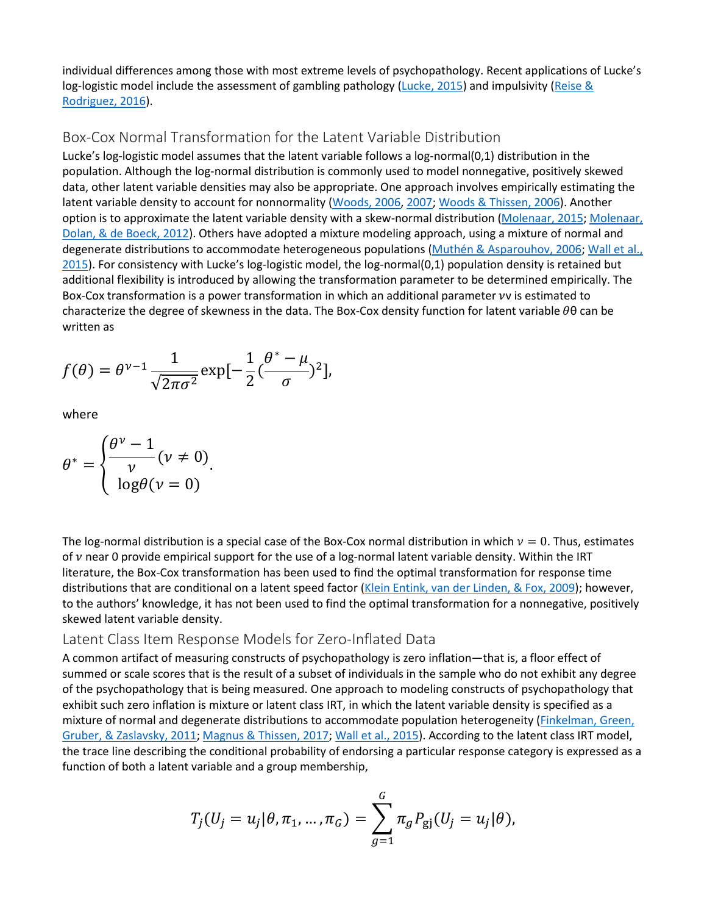individual differences among those with most extreme levels of psychopathology. Recent applications of Lucke's log-logistic model include the assessment of gambling pathology [\(Lucke, 2015\)](https://journals.sagepub.com/doi/10.1177/0146621618758291) and impulsivity (Reise & [Rodriguez, 2016\)](https://journals.sagepub.com/doi/10.1177/0146621618758291).

#### Box-Cox Normal Transformation for the Latent Variable Distribution

Lucke's log-logistic model assumes that the latent variable follows a log-normal(0,1) distribution in the population. Although the log-normal distribution is commonly used to model nonnegative, positively skewed data, other latent variable densities may also be appropriate. One approach involves empirically estimating the latent variable density to account for nonnormality [\(Woods, 2006,](https://journals.sagepub.com/doi/10.1177/0146621618758291) [2007;](https://journals.sagepub.com/doi/10.1177/0146621618758291) [Woods & Thissen, 2006\)](https://journals.sagepub.com/doi/10.1177/0146621618758291). Another option is to approximate the latent variable density with a skew-normal distribution [\(Molenaar, 2015;](https://journals.sagepub.com/doi/10.1177/0146621618758291) [Molenaar,](https://journals.sagepub.com/doi/10.1177/0146621618758291)  [Dolan, & de Boeck, 2012\)](https://journals.sagepub.com/doi/10.1177/0146621618758291). Others have adopted a mixture modeling approach, using a mixture of normal and degenerate distributions to accommodate heterogeneous populations [\(Muthén & Asparouhov, 2006;](https://journals.sagepub.com/doi/10.1177/0146621618758291) [Wall et al.,](https://journals.sagepub.com/doi/10.1177/0146621618758291)  [2015\)](https://journals.sagepub.com/doi/10.1177/0146621618758291). For consistency with Lucke's log-logistic model, the log-normal(0,1) population density is retained but additional flexibility is introduced by allowing the transformation parameter to be determined empirically. The Box-Cox transformation is a power transformation in which an additional parameter νν is estimated to characterize the degree of skewness in the data. The Box-Cox density function for latent variable  $\theta\theta$  can be written as

$$
f(\theta) = \theta^{\nu-1} \frac{1}{\sqrt{2\pi\sigma^2}} \exp[-\frac{1}{2}(\frac{\theta^* - \mu}{\sigma})^2],
$$

where

$$
\theta^* = \begin{cases} \frac{\theta^{\nu} - 1}{\nu} (\nu \neq 0) \\ \log \theta (\nu = 0) \end{cases}.
$$

The log-normal distribution is a special case of the Box-Cox normal distribution in which  $v = 0$ . Thus, estimates of  $\nu$  near 0 provide empirical support for the use of a log-normal latent variable density. Within the IRT literature, the Box-Cox transformation has been used to find the optimal transformation for response time distributions that are conditional on a latent speed factor [\(Klein Entink, van der Linden, & Fox, 2009\)](https://journals.sagepub.com/doi/10.1177/0146621618758291); however, to the authors' knowledge, it has not been used to find the optimal transformation for a nonnegative, positively skewed latent variable density.

#### Latent Class Item Response Models for Zero-Inflated Data

A common artifact of measuring constructs of psychopathology is zero inflation—that is, a floor effect of summed or scale scores that is the result of a subset of individuals in the sample who do not exhibit any degree of the psychopathology that is being measured. One approach to modeling constructs of psychopathology that exhibit such zero inflation is mixture or latent class IRT, in which the latent variable density is specified as a mixture of normal and degenerate distributions to accommodate population heterogeneity (Finkelman, Green, [Gruber, & Zaslavsky, 2011;](https://journals.sagepub.com/doi/10.1177/0146621618758291) [Magnus & Thissen, 2017;](https://journals.sagepub.com/doi/10.1177/0146621618758291) [Wall et al., 2015\)](https://journals.sagepub.com/doi/10.1177/0146621618758291). According to the latent class IRT model, the trace line describing the conditional probability of endorsing a particular response category is expressed as a function of both a latent variable and a group membership,

$$
T_j(U_j = u_j | \theta, \pi_1, ..., \pi_G) = \sum_{g=1}^G \pi_g P_{gj}(U_j = u_j | \theta),
$$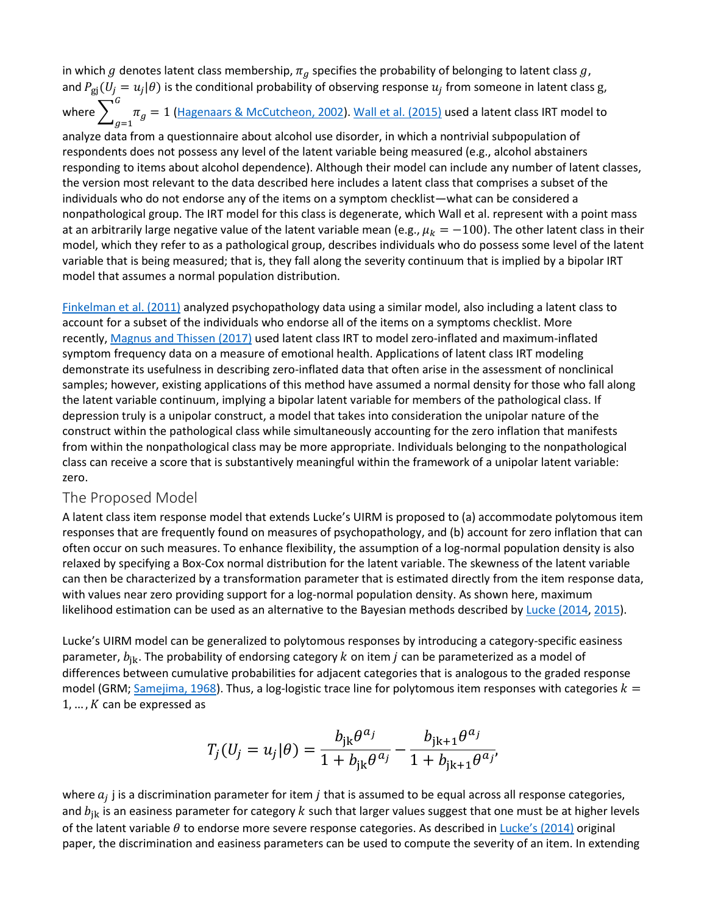in which g denotes latent class membership,  $\pi_g$  specifies the probability of belonging to latent class g, and  $P_{\rm gj}(U_j = u_j | \theta)$  is the conditional probability of observing response  $u_j$  from someone in latent class g, where  $\sum_{s=1}^{G} \pi_g = 1$  $g=1$ [\(Hagenaars & McCutcheon, 2002\)](https://journals.sagepub.com/doi/10.1177/0146621618758291). [Wall et al. \(2015\)](https://journals.sagepub.com/doi/10.1177/0146621618758291) used a latent class IRT model to analyze data from a questionnaire about alcohol use disorder, in which a nontrivial subpopulation of respondents does not possess any level of the latent variable being measured (e.g., alcohol abstainers responding to items about alcohol dependence). Although their model can include any number of latent classes, the version most relevant to the data described here includes a latent class that comprises a subset of the individuals who do not endorse any of the items on a symptom checklist—what can be considered a nonpathological group. The IRT model for this class is degenerate, which Wall et al. represent with a point mass at an arbitrarily large negative value of the latent variable mean (e.g.,  $\mu_k = -100$ ). The other latent class in their model, which they refer to as a pathological group, describes individuals who do possess some level of the latent variable that is being measured; that is, they fall along the severity continuum that is implied by a bipolar IRT model that assumes a normal population distribution.

[Finkelman et al. \(2011\)](https://journals.sagepub.com/doi/10.1177/0146621618758291) analyzed psychopathology data using a similar model, also including a latent class to account for a subset of the individuals who endorse all of the items on a symptoms checklist. More recently, [Magnus and Thissen \(2017\)](https://journals.sagepub.com/doi/10.1177/0146621618758291) used latent class IRT to model zero-inflated and maximum-inflated symptom frequency data on a measure of emotional health. Applications of latent class IRT modeling demonstrate its usefulness in describing zero-inflated data that often arise in the assessment of nonclinical samples; however, existing applications of this method have assumed a normal density for those who fall along the latent variable continuum, implying a bipolar latent variable for members of the pathological class. If depression truly is a unipolar construct, a model that takes into consideration the unipolar nature of the construct within the pathological class while simultaneously accounting for the zero inflation that manifests from within the nonpathological class may be more appropriate. Individuals belonging to the nonpathological class can receive a score that is substantively meaningful within the framework of a unipolar latent variable: zero.

#### The Proposed Model

A latent class item response model that extends Lucke's UIRM is proposed to (a) accommodate polytomous item responses that are frequently found on measures of psychopathology, and (b) account for zero inflation that can often occur on such measures. To enhance flexibility, the assumption of a log-normal population density is also relaxed by specifying a Box-Cox normal distribution for the latent variable. The skewness of the latent variable can then be characterized by a transformation parameter that is estimated directly from the item response data, with values near zero providing support for a log-normal population density. As shown here, maximum likelihood estimation can be used as an alternative to the Bayesian methods described by [Lucke \(2014,](https://journals.sagepub.com/doi/10.1177/0146621618758291) [2015\)](https://journals.sagepub.com/doi/10.1177/0146621618758291).

Lucke's UIRM model can be generalized to polytomous responses by introducing a category-specific easiness parameter,  $b_{jk}$ . The probability of endorsing category k on item *j* can be parameterized as a model of differences between cumulative probabilities for adjacent categories that is analogous to the graded response model (GRM; [Samejima, 1968\)](https://journals.sagepub.com/doi/10.1177/0146621618758291). Thus, a log-logistic trace line for polytomous item responses with categories  $k =$  $1, ..., K$  can be expressed as

$$
T_j(U_j = u_j | \theta) = \frac{b_{jk}\theta^{a_j}}{1 + b_{jk}\theta^{a_j}} - \frac{b_{jk+1}\theta^{a_j}}{1 + b_{jk+1}\theta^{a_j}}
$$

where  $a_j$  j is a discrimination parameter for item *j* that is assumed to be equal across all response categories, and  $b_{ik}$  is an easiness parameter for category k such that larger values suggest that one must be at higher levels of the latent variable  $\theta$  to endorse more severe response categories. As described in [Lucke's \(2014\)](https://journals.sagepub.com/doi/10.1177/0146621618758291) original paper, the discrimination and easiness parameters can be used to compute the severity of an item. In extending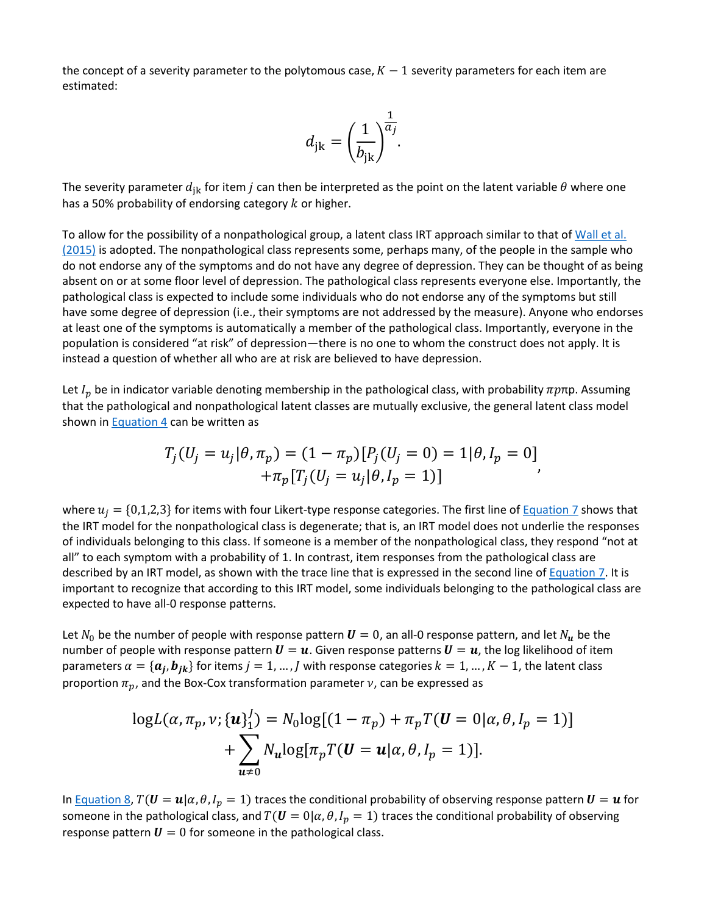the concept of a severity parameter to the polytomous case,  $K - 1$  severity parameters for each item are estimated:

$$
d_{jk} = \left(\frac{1}{b_{jk}}\right)^{\frac{1}{a_j}}.
$$

The severity parameter  $d_{jk}$  for item *j* can then be interpreted as the point on the latent variable  $\theta$  where one has a 50% probability of endorsing category  $k$  or higher.

To allow for the possibility of a nonpathological group, a latent class IRT approach similar to that of [Wall et al.](https://journals.sagepub.com/doi/10.1177/0146621618758291)  [\(2015\)](https://journals.sagepub.com/doi/10.1177/0146621618758291) is adopted. The nonpathological class represents some, perhaps many, of the people in the sample who do not endorse any of the symptoms and do not have any degree of depression. They can be thought of as being absent on or at some floor level of depression. The pathological class represents everyone else. Importantly, the pathological class is expected to include some individuals who do not endorse any of the symptoms but still have some degree of depression (i.e., their symptoms are not addressed by the measure). Anyone who endorses at least one of the symptoms is automatically a member of the pathological class. Importantly, everyone in the population is considered "at risk" of depression—there is no one to whom the construct does not apply. It is instead a question of whether all who are at risk are believed to have depression.

Let  $I_p$  be in indicator variable denoting membership in the pathological class, with probability  $\pi p \pi p$ . Assuming that the pathological and nonpathological latent classes are mutually exclusive, the general latent class model shown in [Equation 4](javascript:popRef() can be written as

$$
T_j(U_j = u_j | \theta, \pi_p) = (1 - \pi_p)[P_j(U_j = 0) = 1 | \theta, I_p = 0] + \pi_p[T_j(U_j = u_j | \theta, I_p = 1)]
$$

where  $u_i = \{0,1,2,3\}$  for items with four Likert-type response categories. The first line of [Equation 7](javascript:popRef() shows that the IRT model for the nonpathological class is degenerate; that is, an IRT model does not underlie the responses of individuals belonging to this class. If someone is a member of the nonpathological class, they respond "not at all" to each symptom with a probability of 1. In contrast, item responses from the pathological class are described by an IRT model, as shown with the trace line that is expressed in the second line of [Equation 7.](javascript:popRef() It is important to recognize that according to this IRT model, some individuals belonging to the pathological class are expected to have all-0 response patterns.

Let  $N_0$  be the number of people with response pattern  $U = 0$ , an all-0 response pattern, and let  $N_u$  be the number of people with response pattern  $U = u$ . Given response patterns  $U = u$ , the log likelihood of item parameters  $\alpha = {\bf{a}_i, b_{ik}}$  for items  $j = 1, ..., J$  with response categories  $k = 1, ..., K - 1$ , the latent class proportion  $\pi_p$ , and the Box-Cox transformation parameter  $\nu$ , can be expressed as

$$
\log L(\alpha, \pi_p, \nu; \{\mathbf{u}\}_1^J) = N_0 \log[(1 - \pi_p) + \pi_p T(\mathbf{U} = 0 | \alpha, \theta, I_p = 1)]
$$

$$
+ \sum_{\mathbf{u} \neq 0} N_{\mathbf{u}} \log[\pi_p T(\mathbf{U} = \mathbf{u} | \alpha, \theta, I_p = 1)].
$$

In [Equation 8,](javascript:popRef()  $T(U = u | \alpha, \theta, I_p = 1)$  traces the conditional probability of observing response pattern  $U = u$  for someone in the pathological class, and  $T(U = 0|\alpha, \theta, I_n = 1)$  traces the conditional probability of observing response pattern  $U = 0$  for someone in the pathological class.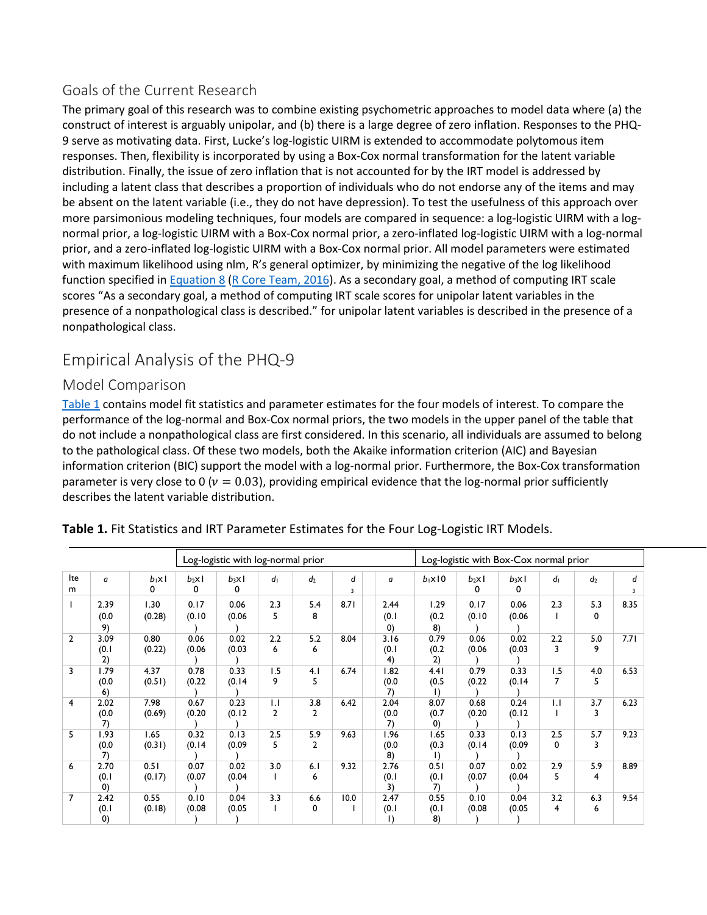## Goals of the Current Research

The primary goal of this research was to combine existing psychometric approaches to model data where (a) the construct of interest is arguably unipolar, and (b) there is a large degree of zero inflation. Responses to the PHQ-9 serve as motivating data. First, Lucke's log-logistic UIRM is extended to accommodate polytomous item responses. Then, flexibility is incorporated by using a Box-Cox normal transformation for the latent variable distribution. Finally, the issue of zero inflation that is not accounted for by the IRT model is addressed by including a latent class that describes a proportion of individuals who do not endorse any of the items and may be absent on the latent variable (i.e., they do not have depression). To test the usefulness of this approach over more parsimonious modeling techniques, four models are compared in sequence: a log-logistic UIRM with a lognormal prior, a log-logistic UIRM with a Box-Cox normal prior, a zero-inflated log-logistic UIRM with a log-normal prior, and a zero-inflated log-logistic UIRM with a Box-Cox normal prior. All model parameters were estimated with maximum likelihood using nlm, R's general optimizer, by minimizing the negative of the log likelihood function specified in [Equation 8](javascript:popRef() [\(R Core Team, 2016\)](https://journals.sagepub.com/doi/10.1177/0146621618758291). As a secondary goal, a method of computing IRT scale scores "As a secondary goal, a method of computing IRT scale scores for unipolar latent variables in the presence of a nonpathological class is described." for unipolar latent variables is described in the presence of a nonpathological class.

## Empirical Analysis of the PHQ-9

#### Model Comparison

[Table 1](https://journals.sagepub.com/doi/10.1177/0146621618758291) contains model fit statistics and parameter estimates for the four models of interest. To compare the performance of the log-normal and Box-Cox normal priors, the two models in the upper panel of the table that do not include a nonpathological class are first considered. In this scenario, all individuals are assumed to belong to the pathological class. Of these two models, both the Akaike information criterion (AIC) and Bayesian information criterion (BIC) support the model with a log-normal prior. Furthermore, the Box-Cox transformation parameter is very close to 0 ( $\nu = 0.03$ ), providing empirical evidence that the log-normal prior sufficiently describes the latent variable distribution.

|                |                                    |                |                | Log-logistic with log-normal prior |                                |                       |        | Log-logistic with Box-Cox normal prior |                                    |                         |                |                    |                    |        |
|----------------|------------------------------------|----------------|----------------|------------------------------------|--------------------------------|-----------------------|--------|----------------------------------------|------------------------------------|-------------------------|----------------|--------------------|--------------------|--------|
| Ite<br>m       | a                                  | $b_1x_1$<br>0  | $b_2x$<br>0    | $b_3x$ l<br>0                      | d <sub>1</sub>                 | d <sub>2</sub>        | d<br>3 | a                                      | $b_1x10$                           | $b_2x$  <br>$\mathbf 0$ | $b_3x$  <br>0  | d <sub>1</sub>     | d <sub>2</sub>     | d<br>3 |
|                | 2.39<br>(0.0)<br>9)                | 1.30<br>(0.28) | 0.17<br>(0.10) | 0.06<br>(0.06)                     | 2.3<br>5                       | 5.4<br>8              | 8.71   | 2.44<br>(0.1)<br>$\left( 0\right)$     | 1.29<br>(0.2)<br>8)                | 0.17<br>(0.10)          | 0.06<br>(0.06) | 2.3                | 5.3<br>$\mathbf 0$ | 8.35   |
| $\overline{2}$ | 3.09<br>(0.1)<br>2)                | 0.80<br>(0.22) | 0.06<br>(0.06) | 0.02<br>(0.03)                     | 2.2<br>6                       | 5.2<br>6              | 8.04   | 3.16<br>(0.1)<br>4)                    | 0.79<br>(0.2)<br>2)                | 0.06<br>(0.06)          | 0.02<br>(0.03) | 2.2<br>3           | 5.0<br>9           | 7.71   |
| $\overline{3}$ | 1.79<br>(0.0)<br>6)                | 4.37<br>(0.51) | 0.78<br>(0.22) | 0.33<br>(0.14)                     | 1.5<br>9                       | 4.1<br>5              | 6.74   | 1.82<br>(0.0)<br>7)                    | 4.41<br>(0.5)                      | 0.79<br>(0.22)          | 0.33<br>(0.14) | 1.5<br>7           | 4.0<br>5           | 6.53   |
| $\overline{4}$ | 2.02<br>(0.0)<br>7)                | 7.98<br>(0.69) | 0.67<br>(0.20) | 0.23<br>(0.12)                     | $\mathbf{L}$<br>$\overline{2}$ | 3.8<br>$\overline{2}$ | 6.42   | 2.04<br>(0.0)<br>7)                    | 8.07<br>(0.7)<br>$\left( 0\right)$ | 0.68<br>(0.20)          | 0.24<br>(0.12) | $\overline{L}$     | 3.7<br>3           | 6.23   |
| 5              | 1.93<br>(0.0)<br>7)                | 1.65<br>(0.31) | 0.32<br>(0.14) | 0.13<br>(0.09)                     | 2.5<br>5                       | 5.9<br>$\overline{2}$ | 9.63   | 1.96<br>(0.0)<br>8)                    | 1.65<br>(0.3)                      | 0.33<br>(0.14)          | 0.13<br>(0.09) | 2.5<br>$\mathbf 0$ | 5.7<br>3           | 9.23   |
| 6              | 2.70<br>(0.1)<br>$\left( 0\right)$ | 0.51<br>(0.17) | 0.07<br>(0.07) | 0.02<br>(0.04)                     | 3.0                            | 6.1<br>6              | 9.32   | 2.76<br>(0.1)<br>3)                    | 0.51<br>(0.1)<br>7)                | 0.07<br>(0.07)          | 0.02<br>(0.04) | 2.9<br>5           | 5.9<br>4           | 8.89   |
| $\overline{7}$ | 2.42<br>(0.1)<br>$\left( 0\right)$ | 0.55<br>(0.18) | 0.10<br>(0.08) | 0.04<br>(0.05)                     | 3.3                            | 6.6<br>0              | 10.0   | 2.47<br>(0.1)                          | 0.55<br>(0.1)<br>8)                | 0.10<br>(0.08)          | 0.04<br>(0.05) | 3.2<br>4           | 6.3<br>6           | 9.54   |

#### **Table 1.** Fit Statistics and IRT Parameter Estimates for the Four Log-Logistic IRT Models.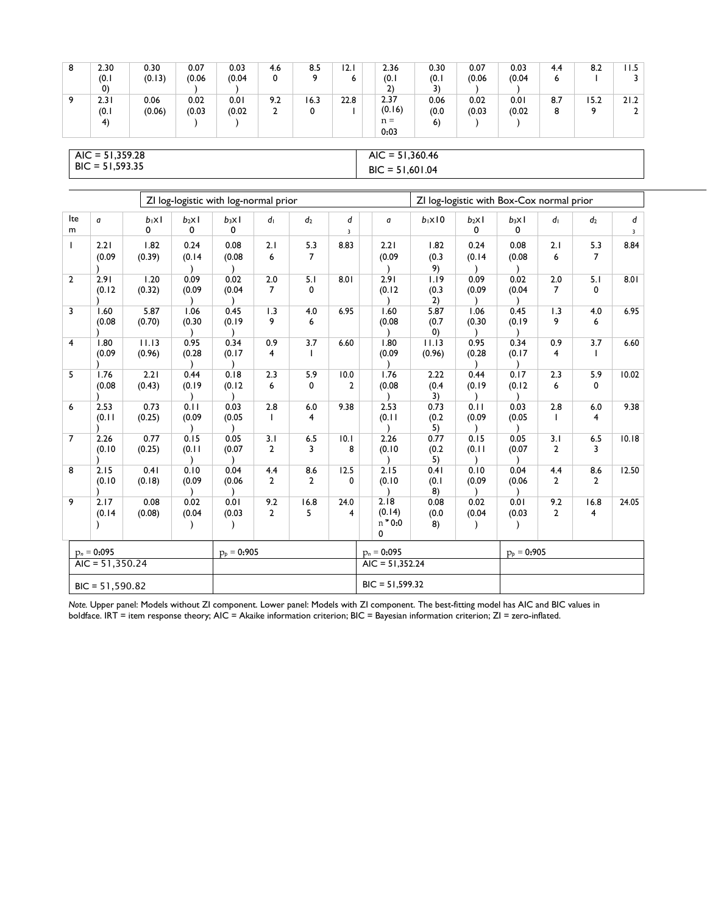| 2.30              | 0.30   | 0.07   | 0.03   | 4.6      | 8.5  | 12.1 | 2.36   | 0.30  | 0.07   | 0.03   | 4.4 | 8.2  | -1.5 |
|-------------------|--------|--------|--------|----------|------|------|--------|-------|--------|--------|-----|------|------|
| (0.1)             | (0.13) | (0.06) | (0.04) | 0        | ۰    | o    | (0.1)  | (0.1) | (0.06) | (0.04) | ь   |      |      |
| $\mathbf{0}$      |        |        |        |          |      |      | つ      |       |        |        |     |      |      |
| 2.31              | 0.06   | 0.02   | 0.01   | 9.2      | 16.3 | 22.8 | 2.37   | 0.06  | 0.02   | 0.01   | 8.7 | 15.2 | 21.2 |
| (0.1)             | (0.06) | (0.03) | (0.02) | <b>L</b> | v    |      | (0.16) | (0.0) | (0.03) | (0.02) | 8   |      |      |
| $\left( 4\right)$ |        |        |        |          |      |      | $n =$  | 6)    |        |        |     |      |      |
|                   |        |        |        |          |      |      | 0:03   |       |        |        |     |      |      |

| $AIC = 51,359.28$ |  |
|-------------------|--|
| $BIC = 51,593.35$ |  |

#### $AIC = 51,360.46$ BIC = 51,601.04

|                                    |                |                    |                | ZI log-logistic with log-normal prior |                                |                       |                              | ZI log-logistic with Box-Cox normal prior   |                               |                         |                         |                       |                        |                                         |  |
|------------------------------------|----------------|--------------------|----------------|---------------------------------------|--------------------------------|-----------------------|------------------------------|---------------------------------------------|-------------------------------|-------------------------|-------------------------|-----------------------|------------------------|-----------------------------------------|--|
| Ite<br>m                           | a              | $b_1x$<br>$\Omega$ | $b_2x$  <br>0  | $b_3x$<br>$\Omega$                    | d <sub>1</sub>                 | d <sub>2</sub>        | d<br>$\overline{\mathbf{3}}$ | a                                           | $b_1$ x <sub>10</sub>         | $b_2x$  <br>$\mathbf 0$ | $b_3x$ l<br>$\mathbf 0$ | d <sub>1</sub>        | d <sub>2</sub>         | $\mathsf{d}$<br>$\overline{\mathbf{3}}$ |  |
| $\mathbf{I}$                       | 2.21<br>(0.09) | 1.82<br>(0.39)     | 0.24<br>(0.14) | 0.08<br>(0.08)                        | 2.1<br>6                       | 5.3<br>7              | 8.83                         | 2.21<br>(0.09)                              | 1.82<br>(0.3)<br>9)           | 0.24<br>(0.14)          | 0.08<br>(0.08)          | 2.1<br>6              | 5.3<br>$\overline{7}$  | 8.84                                    |  |
| $\overline{2}$                     | 2.91<br>(0.12) | 1.20<br>(0.32)     | 0.09<br>(0.09) | 0.02<br>(0.04)                        | 2.0<br>$\overline{7}$          | 5.1<br>$\Omega$       | 8.01                         | 2.91<br>(0.12)                              | 1.19<br>(0.3)<br>2)           | 0.09<br>(0.09)          | 0.02<br>(0.04)          | 2.0<br>$\overline{7}$ | 5.1<br>$\Omega$        | 8.01                                    |  |
| $\overline{3}$                     | 1.60<br>(0.08) | 5.87<br>(0.70)     | 1.06<br>(0.30) | 0.45<br>(0.19)                        | 1.3<br>9                       | 4.0<br>6              | 6.95                         | 1.60<br>(0.08)                              | 5.87<br>(0.7)<br>$\mathbf{0}$ | 1.06<br>(0.30)          | 0.45<br>(0.19)          | 1.3<br>9              | 4.0<br>6               | 6.95                                    |  |
| $\overline{4}$                     | 1.80<br>(0.09) | 11.13<br>(0.96)    | 0.95<br>(0.28) | 0.34<br>(0.17)                        | 0.9<br>$\overline{\mathbf{4}}$ | 3.7<br>ı.             | 6.60                         | 1.80<br>(0.09)                              | 11.13<br>(0.96)               | 0.95<br>(0.28)          | 0.34<br>(0.17)          | 0.9<br>4              | 3.7                    | 6.60                                    |  |
| 5                                  | 1.76<br>(0.08) | 2.21<br>(0.43)     | 0.44<br>(0.19) | 0.18<br>(0.12)                        | 2.3<br>6                       | 5.9<br>$\mathbf 0$    | 10.0<br>$\overline{2}$       | 1.76<br>(0.08)                              | 2.22<br>(0.4)<br>3)           | 0.44<br>(0.19)          | 0.17<br>(0.12)          | 2.3<br>6              | 5.9<br>$\mathbf{0}$    | 10.02                                   |  |
| 6                                  | 2.53<br>(0.11) | 0.73<br>(0.25)     | 0.11<br>(0.09) | 0.03<br>(0.05)                        | 2.8<br>$\mathbf{I}$            | 6.0<br>4              | 9.38                         | 2.53<br>(0.11)                              | 0.73<br>(0.2)<br>5)           | 0.11<br>(0.09)          | 0.03<br>(0.05)          | 2.8<br>$\mathbf{I}$   | 6.0<br>4               | 9.38                                    |  |
| $\overline{7}$                     | 2.26<br>(0.10) | 0.77<br>(0.25)     | 0.15<br>(0.11) | 0.05<br>(0.07)                        | 3.1<br>$\overline{2}$          | 6.5<br>3              | 10.1<br>8                    | 2.26<br>(0.10)                              | 0.77<br>(0.2)<br>5)           | 0.15<br>(0.11)          | 0.05<br>(0.07)          | 3.1<br>$\overline{2}$ | 6.5<br>3               | 10.18                                   |  |
| $\overline{8}$                     | 2.15<br>(0.10) | 0.41<br>(0.18)     | 0.10<br>(0.09) | 0.04<br>(0.06)                        | 4.4<br>$\overline{2}$          | 8.6<br>$\overline{2}$ | 12.5<br>0                    | 2.15<br>(0.10)                              | 0.41<br>(0.1)<br>8)           | 0.10<br>(0.09)          | 0.04<br>(0.06)          | 4.4<br>$\overline{2}$ | 8.6<br>$\mathbf{2}$    | 12.50                                   |  |
| 9                                  | 2.17<br>(0.14) | 0.08<br>(0.08)     | 0.02<br>(0.04) | 0.01<br>(0.03)                        | 9.2<br>$\overline{2}$          | 16.8<br>5.            | 24.0<br>4                    | 2.18<br>(0.14)<br>$n = 0:0$<br>$\mathbf{0}$ | 0.08<br>(0.0)<br>8)           | 0.02<br>(0.04)          | 0.01<br>(0.03)          | 9.2<br>$\overline{2}$ | 16.8<br>$\overline{4}$ | 24.05                                   |  |
| $p_n = 0:095$<br>$AIC = 51,350.24$ |                |                    |                | $p_p = 0.905$                         |                                |                       |                              | $p_n = 0:095$<br>$AIC = 51,352,24$          | $p_p = 0.905$                 |                         |                         |                       |                        |                                         |  |
| $BIC = 51,590.82$                  |                |                    |                |                                       |                                |                       |                              | $BIC = 51,599.32$                           |                               |                         |                         |                       |                        |                                         |  |

*Note.* Upper panel: Models without ZI component. Lower panel: Models with ZI component. The best-fitting model has AIC and BIC values in boldface. IRT = item response theory; AIC = Akaike information criterion; BIC = Bayesian information criterion; ZI = zero-inflated.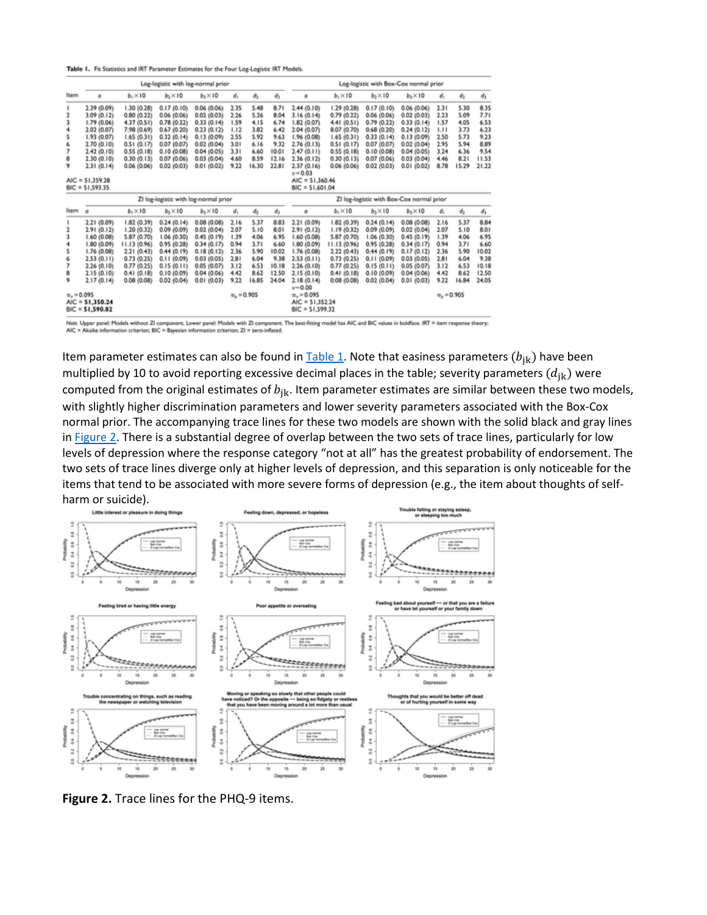Table 1. Fit Statistics and IRT Parameter Estimates for the Four Log-Logistic IRT Models.

|                 |                   |                            | Log-logistic with log-normal prior    |                 |      | Log-logistic with Box-Cox normal prior |       |                                                  |                 |                 |                 |      |       |       |
|-----------------|-------------------|----------------------------|---------------------------------------|-----------------|------|----------------------------------------|-------|--------------------------------------------------|-----------------|-----------------|-----------------|------|-------|-------|
| ltem            | ā                 | $b_1 \times 10$            | $b_2 \times 10$                       | $b_1 \times 10$ | ďı   | d1                                     | d3    | a                                                | $b_1 \times 10$ | $b_2 \times 10$ | $b_1 \times 10$ | ďı   | dı    | dı.   |
|                 | 2.39 (0.09)       | 1.30(0.28)                 | 0.17(0.10)                            | 0.06 (0.06)     | 2.35 | 5.48                                   | 8.71  | 2.44(0.10)                                       | 1.29(0.28)      | 0.17(0.10)      | 0.06(0.06)      | 2.31 | 5.30  | 8.35  |
| 2               | 3.09 (0.12)       | 0.80 (0.22)                | 0.06(0.06)                            | 0.02(0.03)      | 2.26 | 5.26                                   | 8.04  | 3.16(0.14)                                       | 0.79(0.22)      | 0.06(0.06)      | 0.02(0.03)      | 2.23 | 5.09  | 7.71  |
| 3               | 1.79(0.06)        | 4.37 (0.51)                | 0.78(0.22)                            | 0.33(0.14)      | 1.59 | 4.15                                   | 6.74  | 1.82(0.07)                                       | 4.41 (0.51)     | 0.79(0.22)      | 0.33(0.14)      | 1.57 | 4.05  | 6.53  |
|                 | 2.02(0.07)        | 7.98 (0.69)                | 0.67(0.20)                            | 0.23(0.12)      | 1.12 | 3.82                                   | 6.42  | 2.04 (0.07)                                      | 8.07 (0.70)     | 0.68(0.20)      | 0.24(0.12)      | 1.11 | 3.73  | 6.23  |
| s               | 1.93 (0.07)       | 1.65(0.31)                 | 0.32(0.14)                            | 0.13(0.09)      | 2.55 | 5.92                                   | 9.63  | 1.96(0.08)                                       | 1.65(0.31)      | 0.33(0.14)      | 0.13(0.09)      | 2.50 | 5.73  | 9.23  |
| 6               | 2.70(0.10)        | 0.51(0.17)                 | 0.07(0.07)                            | 0.02(0.04)      | 3.01 | 6.16                                   | 9.32  | 2.76(0.13)                                       | 0.51(0.17)      | 0.07(0.07)      | 0.02(0.04)      | 2.95 | 5.94  | 8.89  |
| 7               | 2.42(0.10)        | 0.55(0.18)                 | 0.10(0.08)                            | 0.04(0.05)      | 3.31 | 6.60                                   | 10.01 | 2.47(0.11)                                       | 0.55(0.18)      | 0.10(0.08)      | 0.04(0.05)      | 3.24 | 6.36  | 9.54  |
| ġ               | 2.30(0.10)        | 0.30(0.13)                 | 0.07(0.06)                            | 0.03(0.04)      | 4.60 | 8.59                                   | 12.16 | 2.36(0.12)                                       | 0.30(0.13)      | 0.07(0.06)      | 0.03(0.04)      | 4.46 | 8.21  | 11.53 |
| 9               | 2.31(0.14)        | 0.06(0.06)                 | 0.02(0.03)                            | 0.01(0.02)      | 9.22 | 16.30                                  | 22.81 | 2.37(0.16)                                       | 0.06(0.06)      | 0.02(0.03)      | 0.01(0.02)      | 8.78 | 15.29 | 21.22 |
|                 |                   |                            |                                       |                 |      |                                        |       | $v = 0.03$                                       |                 |                 |                 |      |       |       |
|                 | $AIC = 51.359.28$ |                            |                                       |                 |      |                                        |       | $AIC = 51.360.46$                                |                 |                 |                 |      |       |       |
|                 | $BIC = 51,593.35$ |                            |                                       |                 |      |                                        |       | $BIC = 51,601.04$                                |                 |                 |                 |      |       |       |
|                 |                   |                            | ZI log-logistic with log-normal prior |                 |      |                                        |       | ZI log-logistic with Box-Cox normal prior        |                 |                 |                 |      |       |       |
| ltem            | a                 | $b_1 \times 10$            | $b_2 \times 10$                       | $b_1 \times 10$ | đ,   | $d_2$                                  | d3    | ā                                                | $b_1 \times 10$ | $b_2 \times 10$ | $b_1 \times 10$ | đ,   | $d_2$ | d3    |
|                 | 2.21 (0.09)       | 1.82(0.39)                 | 0.24(0.14)                            | 0.08(0.08)      | 2.16 | 5.37                                   | 8.83  | 2.21 (0.09)                                      | 1.82 (0.39)     | 0.24(0.14)      | 0.08(0.08)      | 2.16 | 5.37  | 8.84  |
| 2               | 2.91(0.12)        | 1.20 (0.32)                | 0.09 (0.09)                           | 0.02(0.04)      | 2.07 | 5.10                                   | 8.01  | 2.91(0.12)                                       | 1.19 (0.32)     | 0.09 (0.09)     | 0.02(0.04)      | 2.07 | 5.10  | 8.01  |
| 3               | 1.60(0.08)        | 5.87 (0.70)                | 1.06(0.30)                            | 0.45(0.19)      | 1.39 | 4.06                                   | 6.95  | 1.60 (0.08)                                      | 5.87 (0.70)     | 1.06(0.30)      | 0.45(0.19)      | 1.39 | 4.06  | 6.95  |
|                 | 1.80 (0.09)       | 11.13 (0.96)               | 0.95(0.28)                            | 0.34(0.17)      | 0.94 | 3.71                                   | 6.60  | 1.80 (0.09)                                      | 11.13 (0.96)    | 0.95(0.28)      | 0.34(0.17)      | 0.94 | 3.71  | 6.60  |
| 5               | 1.76(0.08)        | 2.21(0.43)                 | 0.44(0.19)                            | 0.18(0.12)      | 2.36 | 5.90                                   | 10.02 | 1.76(0.08)                                       | 2.22(0.43)      | 0.44(0.19)      | 0.17(0.12)      | 2.36 | 5.90  | 10.02 |
| 6               | 2.53(0.11)        | 0.73(0.25)                 | 0.11(0.09)                            | 0.03(0.05)      | 2.81 | 6.04                                   | 9.38  | 2.53(0.11)                                       | 0.73(0.25)      | 0.11(0.09)      | 0.03(0.05)      | 2.81 | 6.04  | 9.38  |
| 7               | 2.26(0.10)        | 0.77(0.25)                 | 0.15(0.11)                            | 0.05(0.07)      | 3.12 | 6.53                                   | 10.18 | 2.26(0.10)                                       | 0.77(0.25)      | 0.15(0.11)      | 0.05(0.07)      | 3.12 | 6.53  | 10.18 |
| ġ               | 2.15(0.10)        | 0.41(0.18)                 | 0.10(0.09)                            | 0.04(0.06)      | 4.42 | 8.62                                   | 12.50 | 2.15(0.10)                                       | 0.41(0.18)      | 0.10(0.09)      | 0.04(0.06)      | 4.42 | 8.62  | 12.50 |
| 9               | 2.17(0.14)        | 0.08(0.08)                 | 0.02(0.04)                            | 0.01(0.03)      | 9.22 | 16.85                                  | 24.04 | 2.18(0.14)                                       | 0.08(0.08)      | 0.02(0.04)      | 0.01(0.03)      | 9.22 | 16.84 | 24.05 |
| $\pi_a = 0.095$ |                   | $\pi$ <sub>a</sub> = 0.905 |                                       |                 |      |                                        |       | $v = 0.00$<br>$\pi_b = 0.905$<br>$\pi_a = 0.095$ |                 |                 |                 |      |       |       |
|                 | $AIC = 51,350.24$ |                            |                                       |                 |      |                                        |       | $AIC = 51,352.24$                                |                 |                 |                 |      |       |       |
|                 | $BIC = 51,590.82$ |                            |                                       |                 |      |                                        |       | $BIC = 51,599.32$                                |                 |                 |                 |      |       |       |

Vote. Upper panel: Models without ZI component. Lower panel: Models with ZI component. The best-fitting model has AIC and BIC values in boldface. IRT = item response theory; AIC = Akaike information criterior: BIC = Bayesian information criterion: ZI = zero-inflated

Item parameter estimates can also be found in  $\overline{\text{Table 1}}$ . Note that easiness parameters  $(b_{ik})$  have been multiplied by 10 to avoid reporting excessive decimal places in the table; severity parameters  $(d_{ik})$  were computed from the original estimates of  $b_{ik}$ . Item parameter estimates are similar between these two models, with slightly higher discrimination parameters and lower severity parameters associated with the Box-Cox normal prior. The accompanying trace lines for these two models are shown with the solid black and gray lines in [Figure 2.](https://journals.sagepub.com/doi/10.1177/0146621618758291) There is a substantial degree of overlap between the two sets of trace lines, particularly for low levels of depression where the response category "not at all" has the greatest probability of endorsement. The two sets of trace lines diverge only at higher levels of depression, and this separation is only noticeable for the items that tend to be associated with more severe forms of depression (e.g., the item about thoughts of selfharm or suicide).



**Figure 2.** Trace lines for the PHQ-9 items.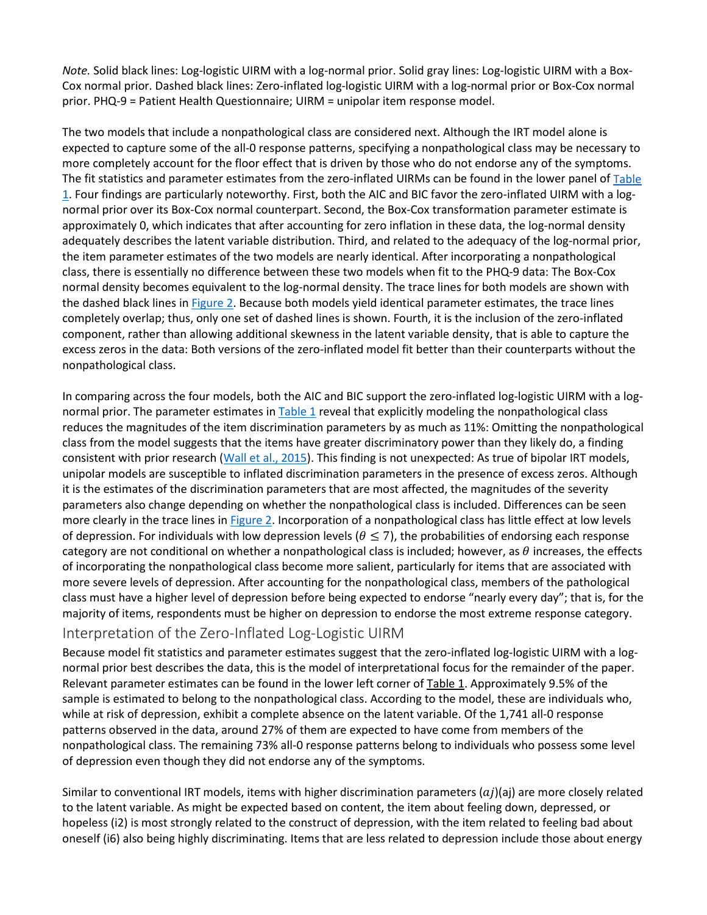*Note.* Solid black lines: Log-logistic UIRM with a log-normal prior. Solid gray lines: Log-logistic UIRM with a Box-Cox normal prior. Dashed black lines: Zero-inflated log-logistic UIRM with a log-normal prior or Box-Cox normal prior. PHQ-9 = Patient Health Questionnaire; UIRM = unipolar item response model.

The two models that include a nonpathological class are considered next. Although the IRT model alone is expected to capture some of the all-0 response patterns, specifying a nonpathological class may be necessary to more completely account for the floor effect that is driven by those who do not endorse any of the symptoms. The fit statistics and parameter estimates from the zero-inflated UIRMs can be found in the lower panel of [Table](https://journals.sagepub.com/doi/10.1177/0146621618758291)  [1.](https://journals.sagepub.com/doi/10.1177/0146621618758291) Four findings are particularly noteworthy. First, both the AIC and BIC favor the zero-inflated UIRM with a lognormal prior over its Box-Cox normal counterpart. Second, the Box-Cox transformation parameter estimate is approximately 0, which indicates that after accounting for zero inflation in these data, the log-normal density adequately describes the latent variable distribution. Third, and related to the adequacy of the log-normal prior, the item parameter estimates of the two models are nearly identical. After incorporating a nonpathological class, there is essentially no difference between these two models when fit to the PHQ-9 data: The Box-Cox normal density becomes equivalent to the log-normal density. The trace lines for both models are shown with the dashed black lines in [Figure 2.](https://journals.sagepub.com/doi/10.1177/0146621618758291) Because both models yield identical parameter estimates, the trace lines completely overlap; thus, only one set of dashed lines is shown. Fourth, it is the inclusion of the zero-inflated component, rather than allowing additional skewness in the latent variable density, that is able to capture the excess zeros in the data: Both versions of the zero-inflated model fit better than their counterparts without the nonpathological class.

In comparing across the four models, both the AIC and BIC support the zero-inflated log-logistic UIRM with a log-normal prior. The parameter estimates in [Table 1](https://journals.sagepub.com/doi/10.1177/0146621618758291) reveal that explicitly modeling the nonpathological class reduces the magnitudes of the item discrimination parameters by as much as 11%: Omitting the nonpathological class from the model suggests that the items have greater discriminatory power than they likely do, a finding consistent with prior research [\(Wall et al., 2015\)](https://journals.sagepub.com/doi/10.1177/0146621618758291). This finding is not unexpected: As true of bipolar IRT models, unipolar models are susceptible to inflated discrimination parameters in the presence of excess zeros. Although it is the estimates of the discrimination parameters that are most affected, the magnitudes of the severity parameters also change depending on whether the nonpathological class is included. Differences can be seen more clearly in the trace lines in [Figure 2.](https://journals.sagepub.com/doi/10.1177/0146621618758291) Incorporation of a nonpathological class has little effect at low levels of depression. For individuals with low depression levels ( $\theta \leq 7$ ), the probabilities of endorsing each response category are not conditional on whether a nonpathological class is included; however, as  $\theta$  increases, the effects of incorporating the nonpathological class become more salient, particularly for items that are associated with more severe levels of depression. After accounting for the nonpathological class, members of the pathological class must have a higher level of depression before being expected to endorse "nearly every day"; that is, for the majority of items, respondents must be higher on depression to endorse the most extreme response category.

#### Interpretation of the Zero-Inflated Log-Logistic UIRM

Because model fit statistics and parameter estimates suggest that the zero-inflated log-logistic UIRM with a lognormal prior best describes the data, this is the model of interpretational focus for the remainder of the paper. Relevant parameter estimates can be found in the lower left corner of [Table 1.](https://journals.sagepub.com/doi/10.1177/0146621618758291) Approximately 9.5% of the sample is estimated to belong to the nonpathological class. According to the model, these are individuals who, while at risk of depression, exhibit a complete absence on the latent variable. Of the 1,741 all-0 response patterns observed in the data, around 27% of them are expected to have come from members of the nonpathological class. The remaining 73% all-0 response patterns belong to individuals who possess some level of depression even though they did not endorse any of the symptoms.

Similar to conventional IRT models, items with higher discrimination parameters  $(aj)(aj)$  are more closely related to the latent variable. As might be expected based on content, the item about feeling down, depressed, or hopeless (i2) is most strongly related to the construct of depression, with the item related to feeling bad about oneself (i6) also being highly discriminating. Items that are less related to depression include those about energy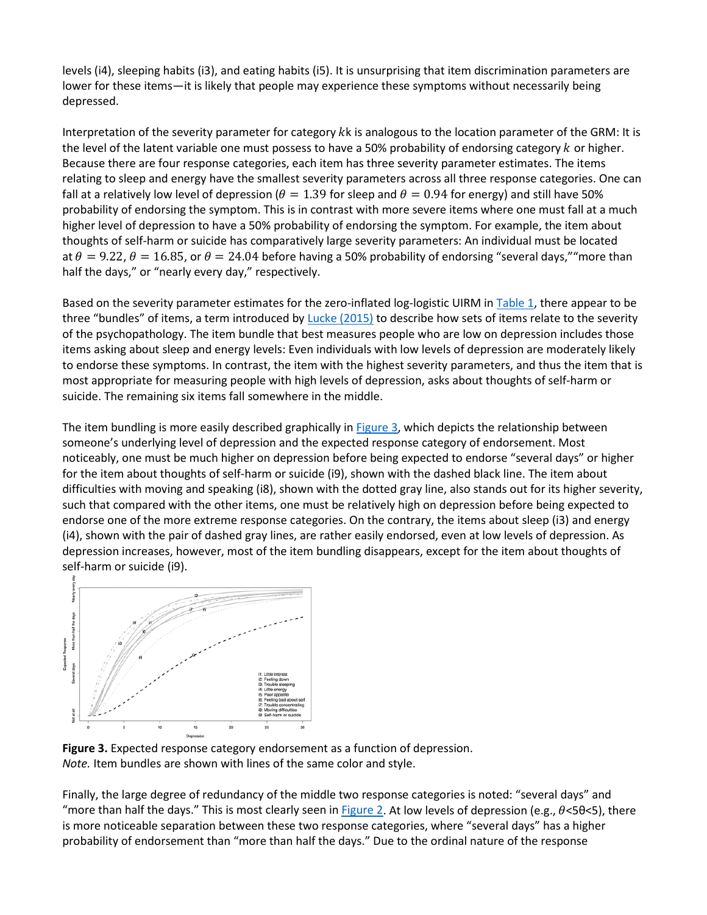levels (i4), sleeping habits (i3), and eating habits (i5). It is unsurprising that item discrimination parameters are lower for these items—it is likely that people may experience these symptoms without necessarily being depressed.

Interpretation of the severity parameter for category  $kk$  is analogous to the location parameter of the GRM: It is the level of the latent variable one must possess to have a 50% probability of endorsing category  $k$  or higher. Because there are four response categories, each item has three severity parameter estimates. The items relating to sleep and energy have the smallest severity parameters across all three response categories. One can fall at a relatively low level of depression ( $\theta = 1.39$  for sleep and  $\theta = 0.94$  for energy) and still have 50% probability of endorsing the symptom. This is in contrast with more severe items where one must fall at a much higher level of depression to have a 50% probability of endorsing the symptom. For example, the item about thoughts of self-harm or suicide has comparatively large severity parameters: An individual must be located at  $\theta = 9.22$ ,  $\theta = 16.85$ , or  $\theta = 24.04$  before having a 50% probability of endorsing "several days," more than half the days," or "nearly every day," respectively.

Based on the severity parameter estimates for the zero-inflated log-logistic UIRM in [Table 1,](https://journals.sagepub.com/doi/10.1177/0146621618758291) there appear to be three "bundles" of items, a term introduced by [Lucke \(2015\)](https://journals.sagepub.com/doi/10.1177/0146621618758291) to describe how sets of items relate to the severity of the psychopathology. The item bundle that best measures people who are low on depression includes those items asking about sleep and energy levels: Even individuals with low levels of depression are moderately likely to endorse these symptoms. In contrast, the item with the highest severity parameters, and thus the item that is most appropriate for measuring people with high levels of depression, asks about thoughts of self-harm or suicide. The remaining six items fall somewhere in the middle.

The item bundling is more easily described graphically in [Figure 3,](https://journals.sagepub.com/doi/10.1177/0146621618758291) which depicts the relationship between someone's underlying level of depression and the expected response category of endorsement. Most noticeably, one must be much higher on depression before being expected to endorse "several days" or higher for the item about thoughts of self-harm or suicide (i9), shown with the dashed black line. The item about difficulties with moving and speaking (i8), shown with the dotted gray line, also stands out for its higher severity, such that compared with the other items, one must be relatively high on depression before being expected to endorse one of the more extreme response categories. On the contrary, the items about sleep (i3) and energy (i4), shown with the pair of dashed gray lines, are rather easily endorsed, even at low levels of depression. As depression increases, however, most of the item bundling disappears, except for the item about thoughts of self-harm or suicide (i9).



**Figure 3.** Expected response category endorsement as a function of depression. *Note.* Item bundles are shown with lines of the same color and style.

Finally, the large degree of redundancy of the middle two response categories is noted: "several days" and "more than half the days." This is most clearly seen in [Figure 2.](https://journals.sagepub.com/doi/10.1177/0146621618758291) At low levels of depression (e.g.,  $\theta$ <50<5), there is more noticeable separation between these two response categories, where "several days" has a higher probability of endorsement than "more than half the days." Due to the ordinal nature of the response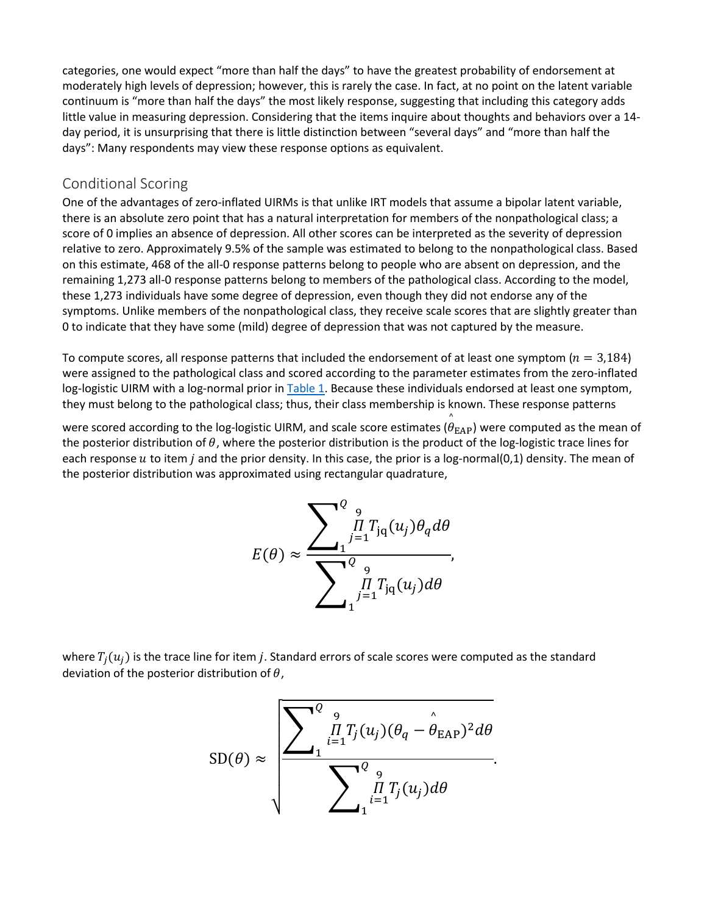categories, one would expect "more than half the days" to have the greatest probability of endorsement at moderately high levels of depression; however, this is rarely the case. In fact, at no point on the latent variable continuum is "more than half the days" the most likely response, suggesting that including this category adds little value in measuring depression. Considering that the items inquire about thoughts and behaviors over a 14 day period, it is unsurprising that there is little distinction between "several days" and "more than half the days": Many respondents may view these response options as equivalent.

#### Conditional Scoring

One of the advantages of zero-inflated UIRMs is that unlike IRT models that assume a bipolar latent variable, there is an absolute zero point that has a natural interpretation for members of the nonpathological class; a score of 0 implies an absence of depression. All other scores can be interpreted as the severity of depression relative to zero. Approximately 9.5% of the sample was estimated to belong to the nonpathological class. Based on this estimate, 468 of the all-0 response patterns belong to people who are absent on depression, and the remaining 1,273 all-0 response patterns belong to members of the pathological class. According to the model, these 1,273 individuals have some degree of depression, even though they did not endorse any of the symptoms. Unlike members of the nonpathological class, they receive scale scores that are slightly greater than 0 to indicate that they have some (mild) degree of depression that was not captured by the measure.

To compute scores, all response patterns that included the endorsement of at least one symptom ( $n = 3,184$ ) were assigned to the pathological class and scored according to the parameter estimates from the zero-inflated log-logistic UIRM with a log-normal prior in [Table 1.](https://journals.sagepub.com/doi/10.1177/0146621618758291) Because these individuals endorsed at least one symptom, they must belong to the pathological class; thus, their class membership is known. These response patterns

were scored according to the log-logistic UIRM, and scale score estimates  $\overset{\wedge}{(\theta_{\rm EAP})}$  were computed as the mean of the posterior distribution of  $\theta$ , where the posterior distribution is the product of the log-logistic trace lines for each response  $u$  to item *i* and the prior density. In this case, the prior is a log-normal(0,1) density. The mean of the posterior distribution was approximated using rectangular quadrature,

$$
E(\theta) \approx \frac{\sum_{j=1}^{Q} \prod_{j=1}^{q} T_{jq}(u_j) \theta_q d\theta}{\sum_{j=1}^{Q} \prod_{j=1}^{q} T_{jq}(u_j) d\theta},
$$

where  $T_i(u_i)$  is the trace line for item *j*. Standard errors of scale scores were computed as the standard deviation of the posterior distribution of  $\theta$ ,

$$
SD(\theta) \approx \sqrt{\frac{\sum_{i=1}^{Q} \sum_{i=1}^{9} T_j(u_j)(\theta_q - \hat{\theta}_{\text{EAP}})^2 d\theta}{\sum_{i=1}^{Q} \sum_{i=1}^{9} T_j(u_j) d\theta}}.
$$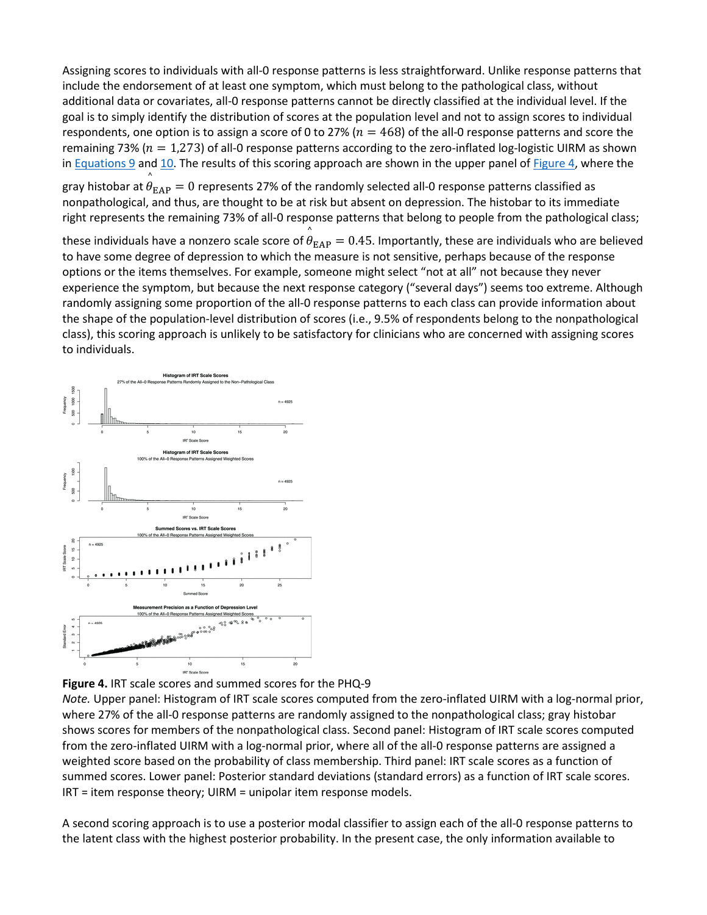Assigning scores to individuals with all-0 response patterns is less straightforward. Unlike response patterns that include the endorsement of at least one symptom, which must belong to the pathological class, without additional data or covariates, all-0 response patterns cannot be directly classified at the individual level. If the goal is to simply identify the distribution of scores at the population level and not to assign scores to individual respondents, one option is to assign a score of 0 to 27% ( $n = 468$ ) of the all-0 response patterns and score the remaining 73% ( $n = 1.273$ ) of all-0 response patterns according to the zero-inflated log-logistic UIRM as shown in **[Equations 9](javascript:popRef()** and [10.](javascript:popRef() The results of this scoring approach are shown in the upper panel of **Figure 4**, where the

gray histobar at  $\overset{\circ}{\theta}_{\mathrm{EAP}}=0$  represents 27% of the randomly selected all-0 response patterns classified as nonpathological, and thus, are thought to be at risk but absent on depression. The histobar to its immediate right represents the remaining 73% of all-0 response patterns that belong to people from the pathological class;

these individuals have a nonzero scale score of  $\hat{\theta}_{\mathrm{EAP}}=0.45$ . Importantly, these are individuals who are believed to have some degree of depression to which the measure is not sensitive, perhaps because of the response options or the items themselves. For example, someone might select "not at all" not because they never experience the symptom, but because the next response category ("several days") seems too extreme. Although randomly assigning some proportion of the all-0 response patterns to each class can provide information about the shape of the population-level distribution of scores (i.e., 9.5% of respondents belong to the nonpathological class), this scoring approach is unlikely to be satisfactory for clinicians who are concerned with assigning scores to individuals.





*Note.* Upper panel: Histogram of IRT scale scores computed from the zero-inflated UIRM with a log-normal prior, where 27% of the all-0 response patterns are randomly assigned to the nonpathological class; gray histobar shows scores for members of the nonpathological class. Second panel: Histogram of IRT scale scores computed from the zero-inflated UIRM with a log-normal prior, where all of the all-0 response patterns are assigned a weighted score based on the probability of class membership. Third panel: IRT scale scores as a function of summed scores. Lower panel: Posterior standard deviations (standard errors) as a function of IRT scale scores. IRT = item response theory; UIRM = unipolar item response models.

A second scoring approach is to use a posterior modal classifier to assign each of the all-0 response patterns to the latent class with the highest posterior probability. In the present case, the only information available to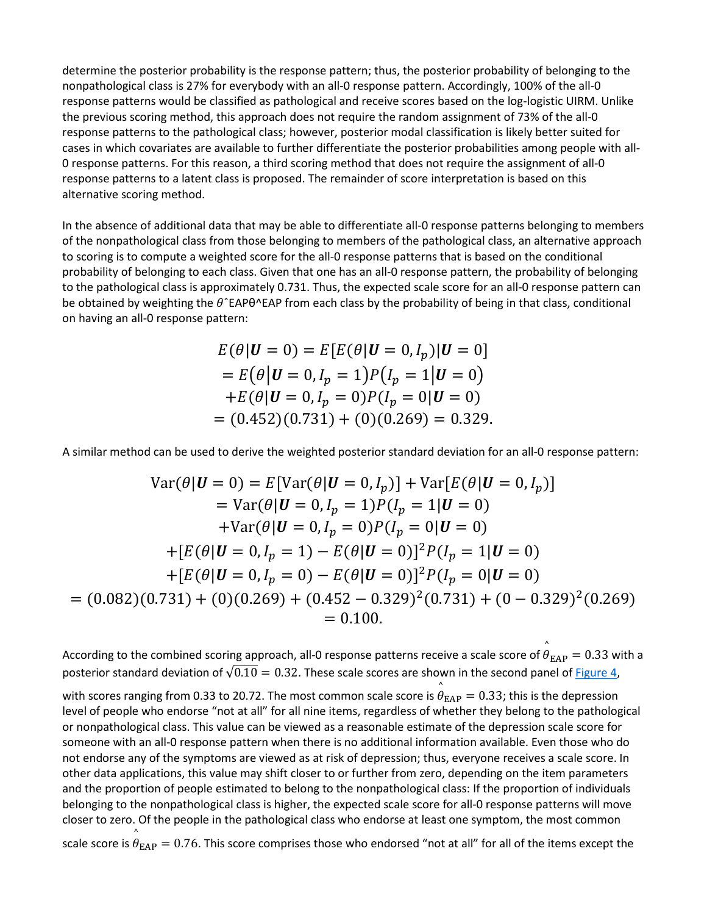determine the posterior probability is the response pattern; thus, the posterior probability of belonging to the nonpathological class is 27% for everybody with an all-0 response pattern. Accordingly, 100% of the all-0 response patterns would be classified as pathological and receive scores based on the log-logistic UIRM. Unlike the previous scoring method, this approach does not require the random assignment of 73% of the all-0 response patterns to the pathological class; however, posterior modal classification is likely better suited for cases in which covariates are available to further differentiate the posterior probabilities among people with all-0 response patterns. For this reason, a third scoring method that does not require the assignment of all-0 response patterns to a latent class is proposed. The remainder of score interpretation is based on this alternative scoring method.

In the absence of additional data that may be able to differentiate all-0 response patterns belonging to members of the nonpathological class from those belonging to members of the pathological class, an alternative approach to scoring is to compute a weighted score for the all-0 response patterns that is based on the conditional probability of belonging to each class. Given that one has an all-0 response pattern, the probability of belonging to the pathological class is approximately 0.731. Thus, the expected scale score for an all-0 response pattern can be obtained by weighting the  $\theta$ <sup>-</sup>EAP $\theta$ <sup>-</sup>EAP from each class by the probability of being in that class, conditional on having an all-0 response pattern:

$$
E(\theta | \mathbf{U} = 0) = E[E(\theta | \mathbf{U} = 0, I_p)|\mathbf{U} = 0]
$$
  
=  $E(\theta | \mathbf{U} = 0, I_p = 1)P(I_p = 1 | \mathbf{U} = 0)$   
+ $E(\theta | \mathbf{U} = 0, I_p = 0)P(I_p = 0 | \mathbf{U} = 0)$   
= (0.452)(0.731) + (0)(0.269) = 0.329.

A similar method can be used to derive the weighted posterior standard deviation for an all-0 response pattern:

$$
\begin{aligned}\n\text{Var}(\theta | \mathbf{U} = 0) &= E[\text{Var}(\theta | \mathbf{U} = 0, I_p)] + \text{Var}[E(\theta | \mathbf{U} = 0, I_p)] \\
&= \text{Var}(\theta | \mathbf{U} = 0, I_p = 1)P(I_p = 1 | \mathbf{U} = 0) \\
&\quad + \text{Var}(\theta | \mathbf{U} = 0, I_p = 0)P(I_p = 0 | \mathbf{U} = 0) \\
&\quad + [E(\theta | \mathbf{U} = 0, I_p = 1) - E(\theta | \mathbf{U} = 0)]^2 P(I_p = 1 | \mathbf{U} = 0) \\
&\quad + [E(\theta | \mathbf{U} = 0, I_p = 0) - E(\theta | \mathbf{U} = 0)]^2 P(I_p = 0 | \mathbf{U} = 0) \\
&= (0.082)(0.731) + (0)(0.269) + (0.452 - 0.329)^2(0.731) + (0 - 0.329)^2(0.269) \\
&= 0.100.\n\end{aligned}
$$

According to the combined scoring approach, all-0 response patterns receive a scale score of  $\overset{\circ}{\theta}_\text{EAP}=0.33$  with a posterior standard deviation of  $\sqrt{0.10} = 0.32$ . These scale scores are shown in the second panel of **Figure 4**,

with scores ranging from 0.33 to 20.72. The most common scale score is  $\stackrel{\circ}{\theta}_{\rm EAP}=0.33$ ; this is the depression level of people who endorse "not at all" for all nine items, regardless of whether they belong to the pathological or nonpathological class. This value can be viewed as a reasonable estimate of the depression scale score for someone with an all-0 response pattern when there is no additional information available. Even those who do not endorse any of the symptoms are viewed as at risk of depression; thus, everyone receives a scale score. In other data applications, this value may shift closer to or further from zero, depending on the item parameters and the proportion of people estimated to belong to the nonpathological class: If the proportion of individuals belonging to the nonpathological class is higher, the expected scale score for all-0 response patterns will move closer to zero. Of the people in the pathological class who endorse at least one symptom, the most common

scale score is  $\hat{\theta}_{\rm EAP} = 0.76$ . This score comprises those who endorsed "not at all" for all of the items except the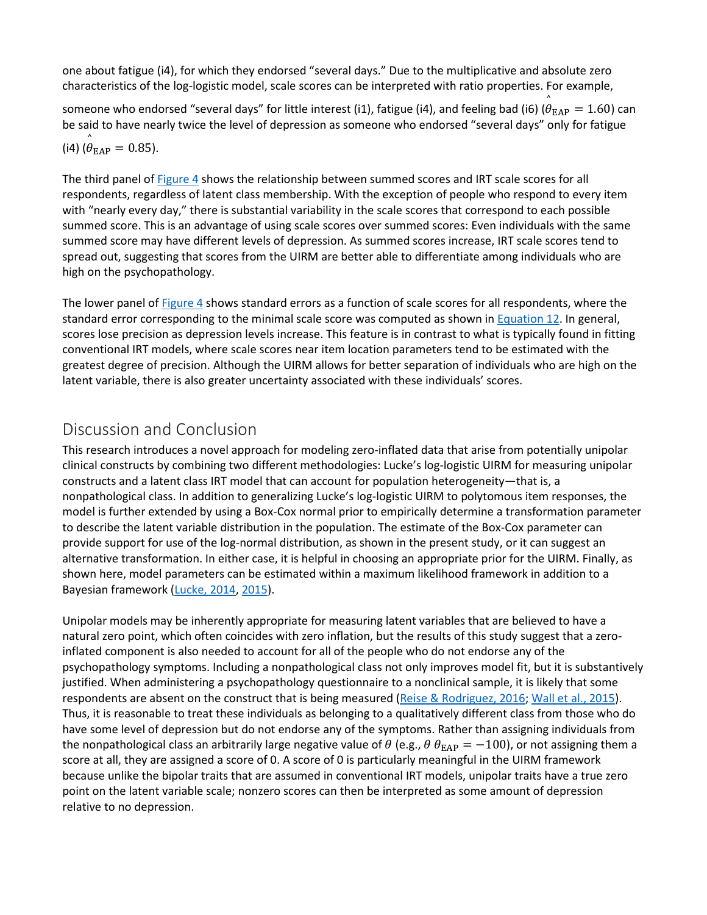one about fatigue (i4), for which they endorsed "several days." Due to the multiplicative and absolute zero characteristics of the log-logistic model, scale scores can be interpreted with ratio properties. For example,

someone who endorsed "several days" for little interest (i1), fatigue (i4), and feeling bad (i6) ( $\overset{\circ}{\theta}_{\rm EAP} = 1.60$ ) can be said to have nearly twice the level of depression as someone who endorsed "several days" only for fatigue

$$
(i4) \stackrel{\wedge}{(\theta_{\text{EAP}}} = 0.85).
$$

The third panel of [Figure 4](https://journals.sagepub.com/doi/10.1177/0146621618758291) shows the relationship between summed scores and IRT scale scores for all respondents, regardless of latent class membership. With the exception of people who respond to every item with "nearly every day," there is substantial variability in the scale scores that correspond to each possible summed score. This is an advantage of using scale scores over summed scores: Even individuals with the same summed score may have different levels of depression. As summed scores increase, IRT scale scores tend to spread out, suggesting that scores from the UIRM are better able to differentiate among individuals who are high on the psychopathology.

The lower panel of [Figure 4](https://journals.sagepub.com/doi/10.1177/0146621618758291) shows standard errors as a function of scale scores for all respondents, where the standard error corresponding to the minimal scale score was computed as shown in [Equation 12.](javascript:popRef() In general, scores lose precision as depression levels increase. This feature is in contrast to what is typically found in fitting conventional IRT models, where scale scores near item location parameters tend to be estimated with the greatest degree of precision. Although the UIRM allows for better separation of individuals who are high on the latent variable, there is also greater uncertainty associated with these individuals' scores.

## Discussion and Conclusion

This research introduces a novel approach for modeling zero-inflated data that arise from potentially unipolar clinical constructs by combining two different methodologies: Lucke's log-logistic UIRM for measuring unipolar constructs and a latent class IRT model that can account for population heterogeneity—that is, a nonpathological class. In addition to generalizing Lucke's log-logistic UIRM to polytomous item responses, the model is further extended by using a Box-Cox normal prior to empirically determine a transformation parameter to describe the latent variable distribution in the population. The estimate of the Box-Cox parameter can provide support for use of the log-normal distribution, as shown in the present study, or it can suggest an alternative transformation. In either case, it is helpful in choosing an appropriate prior for the UIRM. Finally, as shown here, model parameters can be estimated within a maximum likelihood framework in addition to a Bayesian framework [\(Lucke, 2014,](https://journals.sagepub.com/doi/10.1177/0146621618758291) [2015\)](https://journals.sagepub.com/doi/10.1177/0146621618758291).

Unipolar models may be inherently appropriate for measuring latent variables that are believed to have a natural zero point, which often coincides with zero inflation, but the results of this study suggest that a zeroinflated component is also needed to account for all of the people who do not endorse any of the psychopathology symptoms. Including a nonpathological class not only improves model fit, but it is substantively justified. When administering a psychopathology questionnaire to a nonclinical sample, it is likely that some respondents are absent on the construct that is being measured [\(Reise & Rodriguez, 2016;](https://journals.sagepub.com/doi/10.1177/0146621618758291) [Wall et al., 2015\)](https://journals.sagepub.com/doi/10.1177/0146621618758291). Thus, it is reasonable to treat these individuals as belonging to a qualitatively different class from those who do have some level of depression but do not endorse any of the symptoms. Rather than assigning individuals from the nonpathological class an arbitrarily large negative value of  $\theta$  (e.g.,  $\theta \theta_{\rm EAP} = -100$ ), or not assigning them a score at all, they are assigned a score of 0. A score of 0 is particularly meaningful in the UIRM framework because unlike the bipolar traits that are assumed in conventional IRT models, unipolar traits have a true zero point on the latent variable scale; nonzero scores can then be interpreted as some amount of depression relative to no depression.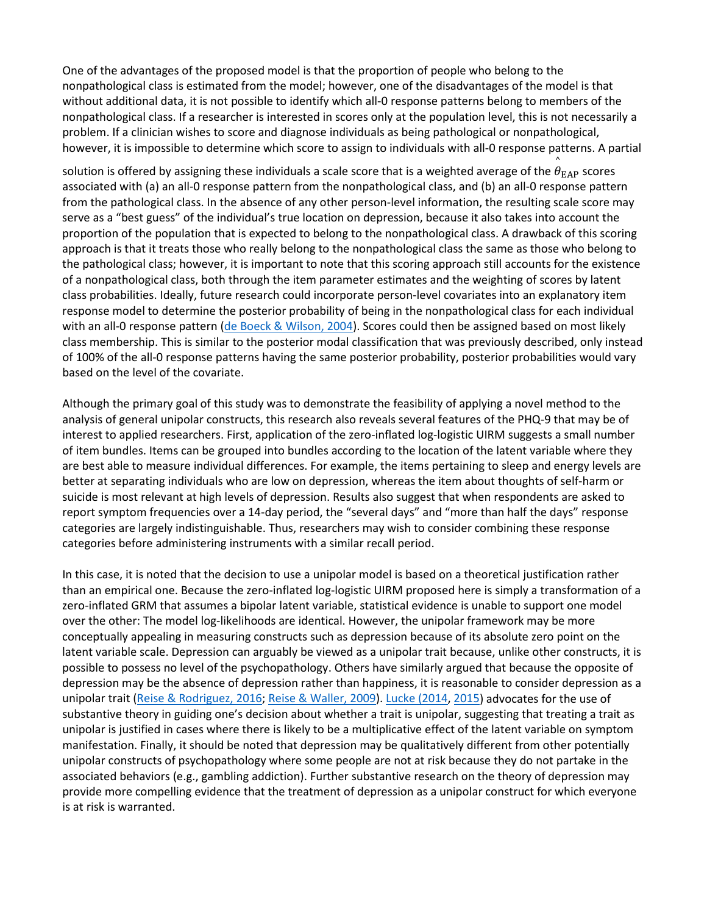One of the advantages of the proposed model is that the proportion of people who belong to the nonpathological class is estimated from the model; however, one of the disadvantages of the model is that without additional data, it is not possible to identify which all-0 response patterns belong to members of the nonpathological class. If a researcher is interested in scores only at the population level, this is not necessarily a problem. If a clinician wishes to score and diagnose individuals as being pathological or nonpathological, however, it is impossible to determine which score to assign to individuals with all-0 response patterns. A partial

solution is offered by assigning these individuals a scale score that is a weighted average of the  $\overset{\circ}{\theta}_\text{EAP}$  scores associated with (a) an all-0 response pattern from the nonpathological class, and (b) an all-0 response pattern from the pathological class. In the absence of any other person-level information, the resulting scale score may serve as a "best guess" of the individual's true location on depression, because it also takes into account the proportion of the population that is expected to belong to the nonpathological class. A drawback of this scoring approach is that it treats those who really belong to the nonpathological class the same as those who belong to the pathological class; however, it is important to note that this scoring approach still accounts for the existence of a nonpathological class, both through the item parameter estimates and the weighting of scores by latent class probabilities. Ideally, future research could incorporate person-level covariates into an explanatory item response model to determine the posterior probability of being in the nonpathological class for each individual with an all-0 response pattern [\(de Boeck & Wilson, 2004\)](https://journals.sagepub.com/doi/10.1177/0146621618758291). Scores could then be assigned based on most likely class membership. This is similar to the posterior modal classification that was previously described, only instead of 100% of the all-0 response patterns having the same posterior probability, posterior probabilities would vary based on the level of the covariate.

Although the primary goal of this study was to demonstrate the feasibility of applying a novel method to the analysis of general unipolar constructs, this research also reveals several features of the PHQ-9 that may be of interest to applied researchers. First, application of the zero-inflated log-logistic UIRM suggests a small number of item bundles. Items can be grouped into bundles according to the location of the latent variable where they are best able to measure individual differences. For example, the items pertaining to sleep and energy levels are better at separating individuals who are low on depression, whereas the item about thoughts of self-harm or suicide is most relevant at high levels of depression. Results also suggest that when respondents are asked to report symptom frequencies over a 14-day period, the "several days" and "more than half the days" response categories are largely indistinguishable. Thus, researchers may wish to consider combining these response categories before administering instruments with a similar recall period.

In this case, it is noted that the decision to use a unipolar model is based on a theoretical justification rather than an empirical one. Because the zero-inflated log-logistic UIRM proposed here is simply a transformation of a zero-inflated GRM that assumes a bipolar latent variable, statistical evidence is unable to support one model over the other: The model log-likelihoods are identical. However, the unipolar framework may be more conceptually appealing in measuring constructs such as depression because of its absolute zero point on the latent variable scale. Depression can arguably be viewed as a unipolar trait because, unlike other constructs, it is possible to possess no level of the psychopathology. Others have similarly argued that because the opposite of depression may be the absence of depression rather than happiness, it is reasonable to consider depression as a unipolar trait [\(Reise & Rodriguez, 2016;](https://journals.sagepub.com/doi/10.1177/0146621618758291) [Reise & Waller, 2009\)](https://journals.sagepub.com/doi/10.1177/0146621618758291). [Lucke \(2014,](https://journals.sagepub.com/doi/10.1177/0146621618758291) [2015\)](https://journals.sagepub.com/doi/10.1177/0146621618758291) advocates for the use of substantive theory in guiding one's decision about whether a trait is unipolar, suggesting that treating a trait as unipolar is justified in cases where there is likely to be a multiplicative effect of the latent variable on symptom manifestation. Finally, it should be noted that depression may be qualitatively different from other potentially unipolar constructs of psychopathology where some people are not at risk because they do not partake in the associated behaviors (e.g., gambling addiction). Further substantive research on the theory of depression may provide more compelling evidence that the treatment of depression as a unipolar construct for which everyone is at risk is warranted.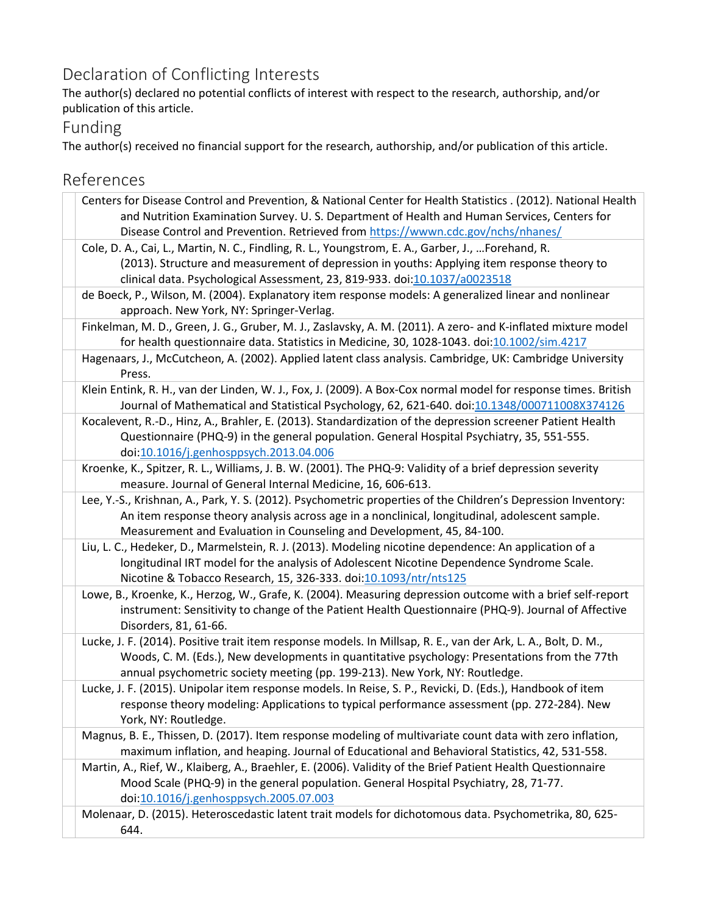# Declaration of Conflicting Interests

The author(s) declared no potential conflicts of interest with respect to the research, authorship, and/or publication of this article.

## Funding

References

The author(s) received no financial support for the research, authorship, and/or publication of this article.

| Centers for Disease Control and Prevention, & National Center for Health Statistics . (2012). National Health<br>and Nutrition Examination Survey. U. S. Department of Health and Human Services, Centers for<br>Disease Control and Prevention. Retrieved from https://wwwn.cdc.gov/nchs/nhanes/ |
|---------------------------------------------------------------------------------------------------------------------------------------------------------------------------------------------------------------------------------------------------------------------------------------------------|
| Cole, D. A., Cai, L., Martin, N. C., Findling, R. L., Youngstrom, E. A., Garber, J.,  Forehand, R.<br>(2013). Structure and measurement of depression in youths: Applying item response theory to<br>clinical data. Psychological Assessment, 23, 819-933. doi:10.1037/a0023518                   |
| de Boeck, P., Wilson, M. (2004). Explanatory item response models: A generalized linear and nonlinear<br>approach. New York, NY: Springer-Verlag.                                                                                                                                                 |
| Finkelman, M. D., Green, J. G., Gruber, M. J., Zaslavsky, A. M. (2011). A zero- and K-inflated mixture model<br>for health questionnaire data. Statistics in Medicine, 30, 1028-1043. doi:10.1002/sim.4217                                                                                        |
| Hagenaars, J., McCutcheon, A. (2002). Applied latent class analysis. Cambridge, UK: Cambridge University<br>Press.                                                                                                                                                                                |
| Klein Entink, R. H., van der Linden, W. J., Fox, J. (2009). A Box-Cox normal model for response times. British<br>Journal of Mathematical and Statistical Psychology, 62, 621-640. doi:10.1348/000711008X374126                                                                                   |
| Kocalevent, R.-D., Hinz, A., Brahler, E. (2013). Standardization of the depression screener Patient Health<br>Questionnaire (PHQ-9) in the general population. General Hospital Psychiatry, 35, 551-555.<br>doi:10.1016/j.genhosppsych.2013.04.006                                                |
| Kroenke, K., Spitzer, R. L., Williams, J. B. W. (2001). The PHQ-9: Validity of a brief depression severity<br>measure. Journal of General Internal Medicine, 16, 606-613.                                                                                                                         |
| Lee, Y.-S., Krishnan, A., Park, Y. S. (2012). Psychometric properties of the Children's Depression Inventory:<br>An item response theory analysis across age in a nonclinical, longitudinal, adolescent sample.<br>Measurement and Evaluation in Counseling and Development, 45, 84-100.          |
| Liu, L. C., Hedeker, D., Marmelstein, R. J. (2013). Modeling nicotine dependence: An application of a<br>longitudinal IRT model for the analysis of Adolescent Nicotine Dependence Syndrome Scale.<br>Nicotine & Tobacco Research, 15, 326-333. doi:10.1093/ntr/nts125                            |
| Lowe, B., Kroenke, K., Herzog, W., Grafe, K. (2004). Measuring depression outcome with a brief self-report<br>instrument: Sensitivity to change of the Patient Health Questionnaire (PHQ-9). Journal of Affective<br>Disorders, 81, 61-66.                                                        |
| Lucke, J. F. (2014). Positive trait item response models. In Millsap, R. E., van der Ark, L. A., Bolt, D. M.,<br>Woods, C. M. (Eds.), New developments in quantitative psychology: Presentations from the 77th<br>annual psychometric society meeting (pp. 199-213). New York, NY: Routledge.     |
| Lucke, J. F. (2015). Unipolar item response models. In Reise, S. P., Revicki, D. (Eds.), Handbook of item<br>response theory modeling: Applications to typical performance assessment (pp. 272-284). New<br>York, NY: Routledge.                                                                  |
| Magnus, B. E., Thissen, D. (2017). Item response modeling of multivariate count data with zero inflation,<br>maximum inflation, and heaping. Journal of Educational and Behavioral Statistics, 42, 531-558.                                                                                       |
| Martin, A., Rief, W., Klaiberg, A., Braehler, E. (2006). Validity of the Brief Patient Health Questionnaire<br>Mood Scale (PHQ-9) in the general population. General Hospital Psychiatry, 28, 71-77.<br>doi:10.1016/j.genhosppsych.2005.07.003                                                    |
| Molenaar, D. (2015). Heteroscedastic latent trait models for dichotomous data. Psychometrika, 80, 625-<br>644.                                                                                                                                                                                    |